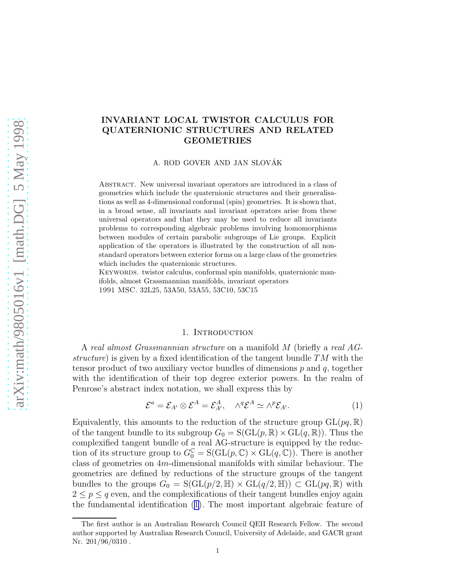# <span id="page-0-0"></span>INVARIANT LOCAL TWISTOR CALCULUS FOR QUATERNIONIC STRUCTURES AND RELATED GEOMETRIES

A. ROD GOVER AND JAN SLOVÁK

Abstract. New universal invariant operators are introduced in a class of geometries which include the quaternionic structures and their generalisations as well as 4-dimensional conformal (spin) geometries. It is shown that, in a broad sense, all invariants and invariant operators arise from these universal operators and that they may be used to reduce all invariants problems to corresponding algebraic problems involving homomorphisms between modules of certain parabolic subgroups of Lie groups. Explicit application of the operators is illustrated by the construction of all nonstandard operators between exterior forms on a large class of the geometries which includes the quaternionic structures.

KEYWORDS. twistor calculus, conformal spin manifolds, quaternionic manifolds, almost Grassmannian manifolds, invariant operators 1991 MSC. 32L25, 53A50, 53A55, 53C10, 53C15

## 1. INTRODUCTION

A real almost Grassmannian structure on a manifold M (briefly a real AGstructure) is given by a fixed identification of the tangent bundle  $TM$  with the tensor product of two auxiliary vector bundles of dimensions  $p$  and  $q$ , together with the identification of their top degree exterior powers. In the realm of Penrose's abstract index notation, we shall express this by

$$
\mathcal{E}^a = \mathcal{E}_{A'} \otimes \mathcal{E}^A = \mathcal{E}_{A'}^A, \quad \wedge^q \mathcal{E}^A \simeq \wedge^p \mathcal{E}_{A'}.
$$
 (1)

Equivalently, this amounts to the reduction of the structure group  $GL(pq, \mathbb{R})$ of the tangent bundle to its subgroup  $G_0 = S(GL(p, \mathbb{R}) \times GL(q, \mathbb{R}))$ . Thus the complexified tangent bundle of a real AG-structure is equipped by the reduction of its structure group to  $G_0^{\mathbb{C}} = S(\mathrm{GL}(p, \mathbb{C}) \times \mathrm{GL}(q, \mathbb{C}))$ . There is another class of geometries on 4m-dimensional manifolds with similar behaviour. The geometries are defined by reductions of the structure groups of the tangent bundles to the groups  $G_0 = S(GL(p/2, \mathbb{H}) \times GL(q/2, \mathbb{H})) \subset GL(pq, \mathbb{R})$  with  $2 \leq p \leq q$  even, and the complexifications of their tangent bundles enjoy again the fundamental identification (1). The most important algebraic feature of

The first author is an Australian Research Council QEII Research Fellow. The second author supported by Australian Research Council, University of Adelaide, and GACR grant Nr. 201/96/0310 .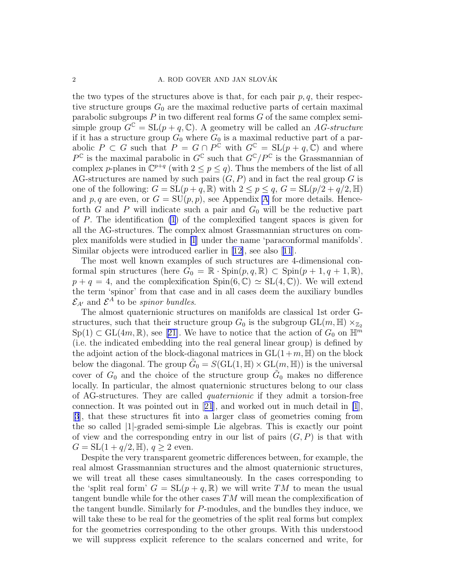the two types of the structures above is that, for each pair  $p, q$ , their respective structure groups  $G_0$  are the maximal reductive parts of certain maximal parabolic subgroups  $P$  in two different real forms  $G$  of the same complex semisimple group  $G^{\mathbb{C}} = SL(p+q, \mathbb{C})$ . A geometry will be called an AG-structure if it has a structure group  $G_0$  where  $G_0$  is a maximal reductive part of a parabolic  $P \subset G$  such that  $P = G \cap P^{\tilde{C}}$  with  $G^{\mathbb{C}} = SL(p+q, \tilde{C})$  and where  $P^{\mathbb{C}}$  is the maximal parabolic in  $G^{\mathbb{C}}$  such that  $G^{\mathbb{C}}/P^{\mathbb{C}}$  is the Grassmannian of complex p-planes in  $\mathbb{C}^{p+q}$  (with  $2 \leq p \leq q$ ). Thus the members of the list of all AG-structures are named by such pairs  $(G, P)$  and in fact the real group G is one of the following:  $G = SL(p+q, \mathbb{R})$  with  $2 \leq p \leq q$ ,  $G = SL(p/2 + q/2, \mathbb{H})$ and p, q are even, or  $G = SU(p, p)$ , see [A](#page-0-0)ppendix A for more details. Henceforth G and P will indicate such a pair and  $G_0$  will be the reductive part of P. The identification [\(1](#page-0-0)) of the complexified tangent spaces is given for all the AG-structures. The complex almost Grassmannian structures on complex manifolds were studied in [\[1](#page-42-0)] under the name 'paraconformal manifolds'. Similar objects were introduced earlier in[[12\]](#page-42-0), see also[[11](#page-42-0)].

The most well known examples of such structures are 4-dimensional conformal spin structures (here  $G_0 = \mathbb{R} \cdot \text{Spin}(p, q, \mathbb{R}) \subset \text{Spin}(p + 1, q + 1, \mathbb{R}),$  $p + q = 4$ , and the complexification Spin $(6, \mathbb{C}) \simeq SL(4, \mathbb{C})$ . We will extend the term 'spinor' from that case and in all cases deem the auxiliary bundles  $\mathcal{E}_{A'}$  and  $\mathcal{E}^{A}$  to be *spinor bundles*.

The almost quaternionic structures on manifolds are classical 1st order Gstructures, such that their structure group  $G_0$  is the subgroup  $GL(m, \mathbb{H}) \times_{\mathbb{Z}_2}$  $Sp(1) \subset GL(4m, \mathbb{R})$  $Sp(1) \subset GL(4m, \mathbb{R})$  $Sp(1) \subset GL(4m, \mathbb{R})$ , see [[21\]](#page-42-0). We have to notice that the action of  $G_0$  on  $\mathbb{H}^m$ (i.e. the indicated embedding into the real general linear group) is defined by the adjoint action of the block-diagonal matrices in  $GL(1+m, \mathbb{H})$  on the block below the diagonal. The group  $\tilde{G}_0 = S(\text{GL}(1, \mathbb{H}) \times \text{GL}(m, \mathbb{H}))$  is the universal cover of  $G_0$  and the choice of the structure group  $\tilde{G}_0$  makes no difference locally. In particular, the almost quaternionic structures belong to our class of AG-structures. They are called quaternionic if they admit a torsion-free connection. It was pointed out in[[21](#page-42-0)], and worked out in much detail in [\[1](#page-42-0)], [[3](#page-42-0)], that these structures fit into a larger class of geometries coming from the so called |1|-graded semi-simple Lie algebras. This is exactly our point of view and the corresponding entry in our list of pairs  $(G, P)$  is that with  $G = SL(1 + q/2, \mathbb{H}), q \geq 2$  even.

Despite the very transparent geometric differences between, for example, the real almost Grassmannian structures and the almost quaternionic structures, we will treat all these cases simultaneously. In the cases corresponding to the 'split real form'  $G = SL(p + q, \mathbb{R})$  we will write TM to mean the usual tangent bundle while for the other cases TM will mean the complexification of the tangent bundle. Similarly for P-modules, and the bundles they induce, we will take these to be real for the geometries of the split real forms but complex for the geometries corresponding to the other groups. With this understood we will suppress explicit reference to the scalars concerned and write, for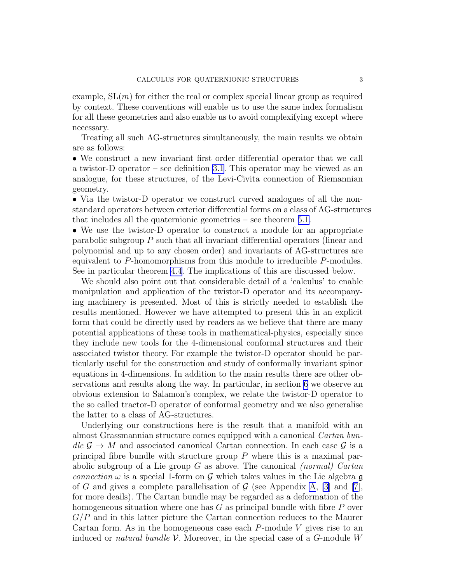example,  $SL(m)$  for either the real or complex special linear group as required by context. These conventions will enable us to use the same index formalism for all these geometries and also enable us to avoid complexifying except where necessary.

Treating all such AG-structures simultaneously, the main results we obtain are as follows:

• We construct a new invariant first order differential operator that we call a twistor-D operator – see definition [3.1](#page-12-0). This operator may be viewed as an analogue, for these structures, of the Levi-Civita connection of Riemannian geometry.

• Via the twistor-D operator we construct curved analogues of all the nonstandard operators between exterior differential forms on a class of AG-structures that includes all the quaternionic geometries – see theorem [5.1.](#page-24-0)

• We use the twistor-D operator to construct a module for an appropriate parabolic subgroup P such that all invariant differential operators (linear and polynomial and up to any chosen order) and invariants of AG-structures are equivalent to P-homomorphisms from this module to irreducible P-modules. See in particular theorem [4.4](#page-22-0). The implications of this are discussed below.

We should also point out that considerable detail of a 'calculus' to enable manipulation and application of the twistor-D operator and its accompanying machinery is presented. Most of this is strictly needed to establish the results mentioned. However we have attempted to present this in an explicit form that could be directly used by readers as we believe that there are many potential applications of these tools in mathematical-physics, especially since they include new tools for the 4-dimensional conformal structures and their associated twistor theory. For example the twistor-D operator should be particularly useful for the construction and study of conformally invariant spinor equations in 4-dimensions. In addition to the main results there are other observations and results along the way. In particular, in section [6](#page-28-0) we observe an obvious extension to Salamon's complex, we relate the twistor-D operator to the so called tractor-D operator of conformal geometry and we also generalise the latter to a class of AG-structures.

Underlying our constructions here is the result that a manifold with an almost Grassmannian structure comes equipped with a canonical Cartan bun $de \mathcal{G} \to M$  and associated canonical Cartan connection. In each case  $\mathcal{G}$  is a principal fibre bundle with structure group  $P$  where this is a maximal parabolic subgroup of a Lie group  $G$  as above. The canonical *(normal)* Cartan connection  $\omega$  is a special 1-form on G which takes values in the Lie algebra g of G and gives a complete parallelisation of  $\mathcal G$  (see [A](#page-0-0)ppendix A, [\[3](#page-42-0)] and [\[7](#page-42-0)], for more deails). The Cartan bundle may be regarded as a deformation of the homogeneous situation where one has  $G$  as principal bundle with fibre  $P$  over  $G/P$  and in this latter picture the Cartan connection reduces to the Maurer Cartan form. As in the homogeneous case each  $P$ -module V gives rise to an induced or *natural bundle V*. Moreover, in the special case of a  $G$ -module W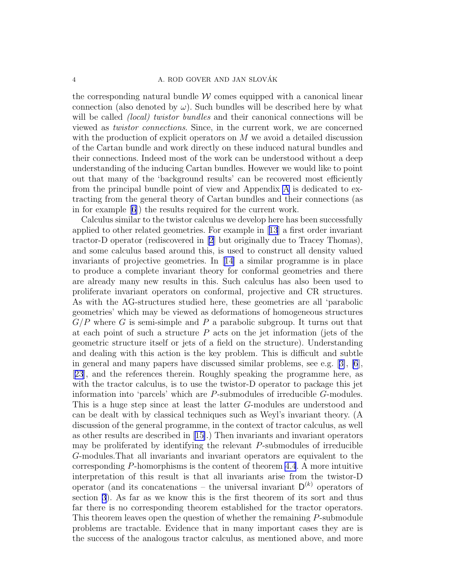the corresponding natural bundle  $\mathcal W$  comes equipped with a canonical linear connection (also denoted by  $\omega$ ). Such bundles will be described here by what will be called *(local)* twistor bundles and their canonical connections will be viewed as twistor connections. Since, in the current work, we are concerned with the production of explicit operators on  $M$  we avoid a detailed discussion of the Cartan bundle and work directly on these induced natural bundles and their connections. Indeed most of the work can be understood without a deep understanding of the inducing Cartan bundles. However we would like to point out that many of the 'background results' can be recovered most efficiently from the principal bundle point of view and Appendix [A](#page-0-0) is dedicated to extracting from the general theory of Cartan bundles and their connections (as in for example[[6\]](#page-42-0)) the results required for the current work.

Calculus similar to the twistor calculus we develop here has been successfully applied to other related geometries. For example in[[13](#page-42-0)] a first order invariant tractor-D operator (rediscovered in [\[2](#page-42-0)] but originally due to Tracey Thomas), and some calculus based around this, is used to construct all density valued invariants of projective geometries. In [\[14\]](#page-42-0) a similar programme is in place to produce a complete invariant theory for conformal geometries and there are already many new results in this. Such calculus has also been used to proliferate invariant operators on conformal, projective and CR structures. As with the AG-structures studied here, these geometries are all 'parabolic geometries' which may be viewed as deformations of homogeneous structures  $G/P$  where G is semi-simple and P a parabolic subgroup. It turns out that at each point of such a structure  $P$  acts on the jet information (jets of the geometric structure itself or jets of a field on the structure). Understanding and dealing with this action is the key problem. This is difficult and subtle in general and many papers have discussed similar problems, see e.g. [[3\]](#page-42-0), [\[6](#page-42-0)], [[23](#page-42-0)], and the references therein. Roughly speaking the programme here, as with the tractor calculus, is to use the twistor-D operator to package this jet information into 'parcels' which are P-submodules of irreducible G-modules. This is a huge step since at least the latter G-modules are understood and can be dealt with by classical techniques such as Weyl's invariant theory. (A discussion of the general programme, in the context of tractor calculus, as well as other results are described in [\[15\]](#page-42-0).) Then invariants and invariant operators may be proliferated by identifying the relevant  $P$ -submodules of irreducible G-modules.That all invariants and invariant operators are equivalent to the corresponding P-homorphisms is the content of theorem [4.4](#page-22-0). A more intuitive interpretation of this result is that all invariants arise from the twistor-D operator (and its concatenations – the universal invariant  $D^{(k)}$  operators of section [3](#page-11-0)). As far as we know this is the first theorem of its sort and thus far there is no corresponding theorem established for the tractor operators. This theorem leaves open the question of whether the remaining P-submodule problems are tractable. Evidence that in many important cases they are is the success of the analogous tractor calculus, as mentioned above, and more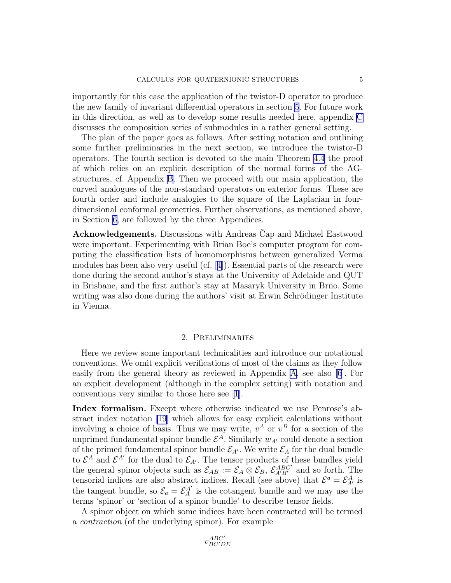<span id="page-4-0"></span>importantly for this case the application of the twistor-D operator to produce the new family of invariant differential operators in section [5](#page-23-0). For future work in this direction, as well as to develop some results needed here, appendix [C](#page-11-0) discusses the composition series of submodules in a rather general setting.

The plan of the paper goes as follows. After setting notation and outlining some further preliminaries in the next section, we introduce the twistor-D operators. The fourth section is devoted to the main Theorem [4.4](#page-22-0) the proof of which relies on an explicit description of the normal forms of the AGstructures, cf. Appendix B. Then we proceed with our main application, the curved analogues of the non-standard operators on exterior forms. These are fourth order and include analogies to the square of the Laplacian in fourdimensional conformal geometries. Further observations, as mentioned above, in Section [6,](#page-28-0) are followed by the three Appendices.

Acknowledgements. Discussions with Andreas Cap and Michael Eastwood were important. Experimenting with Brian Boe's computer program for computing the classification lists of homomorphisms between generalized Verma modules has been also very useful (cf.[[4\]](#page-42-0)). Essential parts of the research were done during the second author's stays at the University of Adelaide and QUT in Brisbane, and the first author's stay at Masaryk University in Brno. Some writing was also done during the authors' visit at Erwin Schrödinger Institute in Vienna.

## 2. Preliminaries

Here we review some important technicalities and introduce our notational conventions. We omit explicit verifications of most of the claims as they follow easily from the general theory as reviewed in Appendix [A,](#page-0-0) see also[[6](#page-42-0)]. For an explicit development (although in the complex setting) with notation and conventions very similar to those here see [\[1\]](#page-42-0).

Index formalism. Except where otherwise indicated we use Penrose's abstract index notation [\[19](#page-42-0)] which allows for easy explicit calculations without involving a choice of basis. Thus we may write,  $v^A$  or  $v^B$  for a section of the unprimed fundamental spinor bundle  $\mathcal{E}^{A}$ . Similarly  $w_{A'}$  could denote a section of the primed fundamental spinor bundle  $\mathcal{E}_{A'}$ . We write  $\mathcal{E}_A$  for the dual bundle to  $\mathcal{E}^A$  and  $\mathcal{E}^{A'}$  for the dual to  $\mathcal{E}_{A'}$ . The tensor products of these bundles yield the general spinor objects such as  $\mathcal{E}_{AB} := \mathcal{E}_A \otimes \mathcal{E}_B$ ,  $\mathcal{E}_{A'B'}^{ABC'}$  and so forth. The tensorial indices are also abstract indices. Recall (see above) that  $\mathcal{E}^a = \mathcal{E}_{A'}^A$  is the tangent bundle, so  $\mathcal{E}_a = \mathcal{E}_A^{A'}$  is the cotangent bundle and we may use the terms 'spinor' or 'section of a spinor bundle' to describe tensor fields.

A spinor object on which some indices have been contracted will be termed a contraction (of the underlying spinor). For example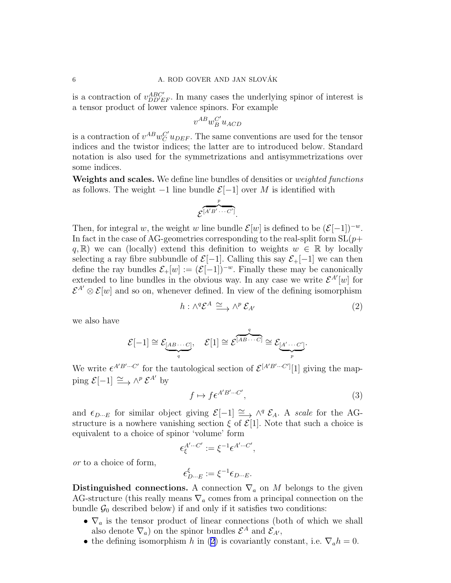<span id="page-5-0"></span>is a contraction of  $v_{DD'EF}^{ABC'}$ . In many cases the underlying spinor of interest is a tensor product of lower valence spinors. For example

$$
v^{AB} w_B^{C'} u_{ACD}
$$

is a contraction of  $v^{AB}w_C^{C'}u_{DEF}$ . The same conventions are used for the tensor indices and the twistor indices; the latter are to introduced below. Standard notation is also used for the symmetrizations and antisymmetrizations over some indices.

Weights and scales. We define line bundles of densities or *weighted functions* as follows. The weight  $-1$  line bundle  $\mathcal{E}[-1]$  over M is identified with

$$
\overbrace{\mathcal{E}^{[A'B'\cdots C']}}^{p}.
$$

Then, for integral w, the weight w line bundle  $\mathcal{E}[w]$  is defined to be  $(\mathcal{E}[-1])^{-w}$ . In fact in the case of AG-geometries corresponding to the real-split form  $SL(p+$ q, R) we can (locally) extend this definition to weights  $w \in \mathbb{R}$  by locally selecting a ray fibre subbundle of  $\mathcal{E}[-1]$ . Calling this say  $\mathcal{E}_+[-1]$  we can then define the ray bundles  $\mathcal{E}_+[w] := (\mathcal{E}[-1])^{-w}$ . Finally these may be canonically extended to line bundles in the obvious way. In any case we write  $\mathcal{E}^{A'}[w]$  for  $\mathcal{E}^{A'} \otimes \mathcal{E}[w]$  and so on, whenever defined. In view of the defining isomorphism

$$
h: \wedge^q \mathcal{E}^A \xrightarrow{\sim} \wedge^p \mathcal{E}_{A'} \tag{2}
$$

we also have

$$
\mathcal{E}[-1] \cong \underbrace{\mathcal{E}_{[AB\cdots C]}}, \quad \mathcal{E}[1] \cong \underbrace{\mathcal{E}^{[AB\cdots C]}}_{p} \cong \underbrace{\mathcal{E}_{[A'\cdots C']}}.
$$

We write  $\epsilon^{A'B'\cdots C'}$  for the tautological section of  $\mathcal{E}^{[A'B'\cdots C']}[1]$  giving the mapping  $\mathcal{E}[-1] \xrightarrow{\simeq} \wedge^p \mathcal{E}^{A'}$  by

$$
f \mapsto f \epsilon^{A'B'\cdots C'},\tag{3}
$$

and  $\epsilon_{D\cdots E}$  for similar object giving  $\mathcal{E}[-1] \cong \wedge^q \mathcal{E}_A$ . A scale for the AGstructure is a nowhere vanishing section  $\xi$  of  $\mathcal{E}[1]$ . Note that such a choice is equivalent to a choice of spinor 'volume' form

$$
\epsilon_{\xi}^{A'\cdots C'}:=\xi^{-1}\epsilon^{A'\cdots C'},
$$

or to a choice of form,

$$
\epsilon_{D\cdots E}^\xi:=\xi^{-1}\epsilon_{D\cdots E}.
$$

Distinguished connections. A connection  $\nabla_a$  on M belongs to the given AG-structure (this really means  $\nabla_a$  comes from a principal connection on the bundle  $\mathcal{G}_0$  described below) if and only if it satisfies two conditions:

- $\nabla_a$  is the tensor product of linear connections (both of which we shall also denote  $\nabla_a$ ) on the spinor bundles  $\mathcal{E}^A$  and  $\mathcal{E}_{A'}$ ,
- the defining isomorphism h in (2) is covariantly constant, i.e.  $\nabla_a h = 0$ .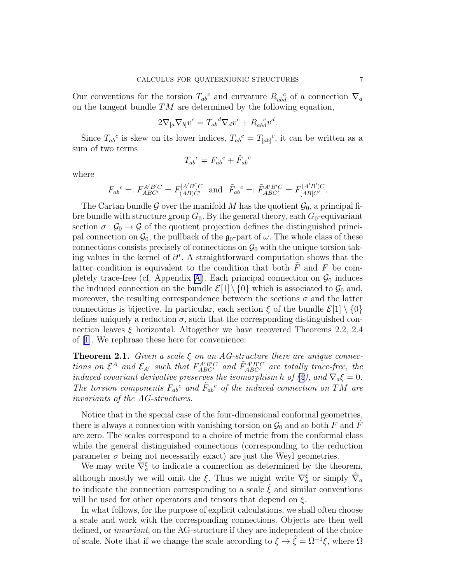Our conventions for the torsion  $T_{ab}^c$  and curvature  $R_{ab}^c$  of a connection  $\nabla_a$ on the tangent bundle  $TM$  are determined by the following equation,

$$
2\nabla_{[a}\nabla_{b]}v^c = T_{ab}{}^d\nabla_d v^c + R_{ab}{}^c_d v^d.
$$

Since  $T_{ab}^c$  is skew on its lower indices,  $T_{ab}^c = T_{[ab]}^c$ , it can be written as a sum of two terms

$$
T_{ab}{}^c = F_{ab}{}^c + \tilde{F}_{ab}{}^c
$$

where

$$
F_{ab}^{\ c} =: F_{ABC'}^{A'B'C} = F_{(AB)C'}^{[A'B']C}
$$
 and  $\tilde{F}_{ab}^{\ c} =: \tilde{F}_{ABC'}^{A'B'C} = F_{[AB]C'}^{(A'B')C}$ .

The Cartan bundle G over the manifold M has the quotient  $\mathcal{G}_0$ , a principal fibre bundle with structure group  $G_0$ . By the general theory, each  $G_0$ -equivariant section  $\sigma : \mathcal{G}_0 \to \mathcal{G}$  of the quotient projection defines the distinguished principal connection on  $\mathcal{G}_0$ , the pullback of the  $\mathfrak{g}_0$ -part of  $\omega$ . The whole class of these connections consists precisely of connections on  $\mathcal{G}_0$  with the unique torsion taking values in the kernel of  $\partial^*$ . A straightforward computation shows that the latter condition is equivalent to the condition that both  $\tilde{F}$  and F be com-pletely trace-free (cf. Appendix [A\)](#page-0-0). Each principal connection on  $\mathcal{G}_0$  induces the induced connection on the bundle  $\mathcal{E}[1] \setminus \{0\}$  which is associated to  $\mathcal{G}_0$  and, moreover, the resulting correspondence between the sections  $\sigma$  and the latter connections is bijective. In particular, each section  $\xi$  of the bundle  $\mathcal{E}[1] \setminus \{0\}$ defines uniquely a reduction  $\sigma$ , such that the corresponding distinguished connection leaves  $\xi$  horizontal. Altogether we have recovered Theorems 2.2, 2.4 of[[1\]](#page-42-0). We rephrase these here for convenience:

**Theorem 2.1.** Given a scale  $\xi$  on an AG-structure there are unique connections on  $\mathcal{E}^A$  and  $\mathcal{E}_{A'}$  such that  $F_{ABC'}^{A'B'C}$  and  $\tilde{F}_{ABC'}^{A'B'C}$  are totally trace-free, the induced covariant derivative preserves the isomorphism h of [\(2](#page-5-0)), and  $\nabla_a \xi = 0$ . The torsion components  $F_{ab}^c$  and  $\tilde{F}_{ab}^c$  of the induced connection on TM are invariants of the AG-structures.

Notice that in the special case of the four-dimensional conformal geometries, there is always a connection with vanishing torsion on  $\mathcal{G}_0$  and so both F and  $\tilde{F}$ are zero. The scales correspond to a choice of metric from the conformal class while the general distinguished connections (corresponding to the reduction parameter  $\sigma$  being not necessarily exact) are just the Weyl geometries.

We may write  $\nabla_a^{\xi}$  to indicate a connection as determined by the theorem, although mostly we will omit the  $\xi$ . Thus we might write  $\nabla_{a}^{\hat{\xi}}$  or simply  $\hat{\nabla}_{a}$ to indicate the connection corresponding to a scale  $\hat{\xi}$  and similar conventions will be used for other operators and tensors that depend on  $\xi$ .

In what follows, for the purpose of explicit calculations, we shall often choose a scale and work with the corresponding connections. Objects are then well defined, or invariant, on the AG-structure if they are independent of the choice of scale. Note that if we change the scale according to  $\xi \mapsto \hat{\xi} = \Omega^{-1} \xi$ , where  $\Omega$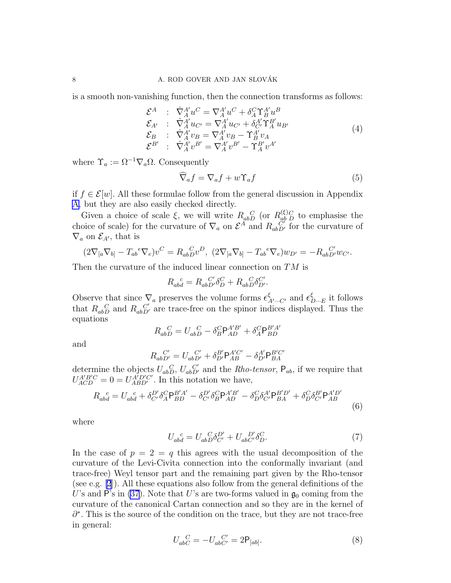<span id="page-7-0"></span>is a smooth non-vanishing function, then the connection transforms as follows:

$$
\mathcal{E}^{A} : \hat{\nabla}_{A}^{A'} u^{C} = \nabla_{A}^{A'} u^{C} + \delta_{A}^{C} \Upsilon_{B}^{A'} u^{B}
$$
\n
$$
\mathcal{E}_{A'} : \hat{\nabla}_{A}^{A'} u_{C'} = \nabla_{A}^{A'} u_{C'} + \delta_{C'}^{A'} \Upsilon_{A}^{B'} u_{B'}
$$
\n
$$
\mathcal{E}_{B} : \hat{\nabla}_{A}^{A'} v_{B} = \nabla_{A}^{A'} v_{B} - \Upsilon_{B}^{A'} v_{A}
$$
\n
$$
\mathcal{E}^{B'} : \hat{\nabla}_{A}^{A'} v^{B'} = \nabla_{A}^{A'} v^{B'} - \Upsilon_{A}^{B'} v^{A'}
$$
\n(4)

where  $\Upsilon_a := \Omega^{-1} \nabla_a \Omega$ . Consequently

$$
\nabla_a f = \nabla_a f + w \Upsilon_a f \tag{5}
$$

if  $f \in \mathcal{E}[w]$ . All these formulae follow from the general discussion in Appendix [A](#page-0-0), but they are also easily checked directly.

Given a choice of scale  $\xi$ , we will write  $R_{ab}^{\quad C}_{ab}$  (or  $R_{ab}^{(\xi)}$  $\alpha_{ab}^{(\xi)}$  to emphasise the choice of scale) for the curvature of  $\nabla_a$  on  $\mathcal{E}^A$  and  $R_{ab}^{\alpha b}_{D'}$  for the curvature of  $\nabla_a$  on  $\mathcal{E}_{A'}$ , that is

$$
(2\nabla_{[a}\nabla_{b]} - T_{ab}{}^e \nabla_e) v^C = R_{ab}{}^C_{D} v^D, \ (2\nabla_{[a}\nabla_{b]} - T_{ab}{}^e \nabla_e) w_{D'} = -R_{ab}{}^C_{D'} w_{C'}.
$$

Then the curvature of the induced linear connection on TM is

$$
R_{abd}^{~~c} = R_{abD'}^{~~C'} \delta_D^C + R_{abD}^{~~C} \delta_{D'}^{C'}.
$$

Observe that since  $\nabla_a$  preserves the volume forms  $\epsilon_{A'\cdots C'}^{\xi}$  and  $\epsilon_{D\cdots E}^{\xi}$  it follows that  $R_{abD}^C$  and  $R_{abD'}^C$  are trace-free on the spinor indices displayed. Thus the equations

$$
R_{abD}^{~~C}=U_{abD}^{~~C}-\delta_B^C\mathsf{P}^{A'B'}_{AD}+\delta_A^C\mathsf{P}^{B'A'}_{BD}
$$

and

$$
R_{abD'}^{C'} = U_{abD'}^{C'} + \delta_{D'}^{B'} \mathsf{P}_{AB}^{A'C'} - \delta_{D'}^{A'} \mathsf{P}_{BA}^{B'C'}
$$

determine the objects  $U_{abD}^{C}$ ,  $U_{abD}^{C'}$  and the *Rho-tensor*,  $P_{ab}$ , if we require that  $U_{ACD}^{A'B'C} = 0 = U_{ABD'}^{A'D'C'}$ . In this notation we have,

$$
R_{abd}^{c} = U_{abd}^{c} + \delta_{C'}^{D'} \delta_A^{C} P_{BD}^{B'A'} - \delta_{C'}^{D'} \delta_B^{C} P_{AD}^{A'B'} - \delta_D^{C} \delta_{C'}^{A'} P_{BA}^{B'D'} + \delta_D^{C} \delta_{C'}^{B'} P_{AB}^{A'D'} \tag{6}
$$

where

$$
U_{ab}^{\quad c} = U_{ab}^{\quad C} \delta_{C'}^{D'} + U_{ab}^{\quad D'} \delta_{D}^{C}.\tag{7}
$$

In the case of  $p = 2 = q$  this agrees with the usual decomposition of the curvature of the Levi-Civita connection into the conformally invariant (and trace-free) Weyl tensor part and the remaining part given by the Rho-tensor (see e.g. [\[2](#page-42-0)]). All these equations also follow from the general definitions of the U's and P's in [\(37](#page-34-0)). Note that U's are two-forms valued in  $\mathfrak{g}_0$  coming from the curvature of the canonical Cartan connection and so they are in the kernel of ∂<sup>\*</sup>. This is the source of the condition on the trace, but they are not trace-free in general:

$$
U_{abC}^{~~C} = -U_{abC'}^{~~C'} = 2P_{[ab]}.
$$
\n(8)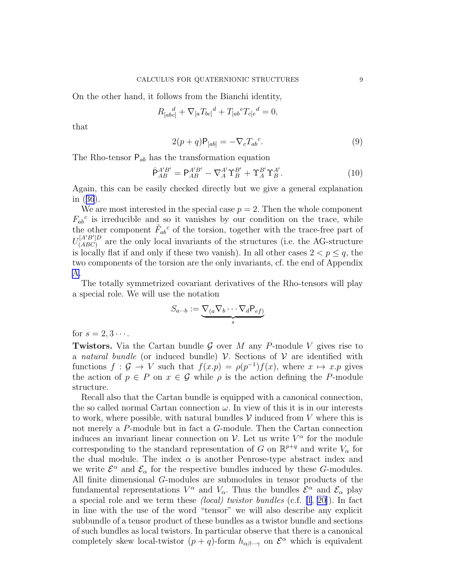<span id="page-8-0"></span>On the other hand, it follows from the Bianchi identity,

$$
R_{[abc]}^{\quad d} + \nabla_{[a} T_{bc]}^{\quad d} + T_{[ab}^{\quad e} T_{c]e}^{\quad d} = 0,
$$

that

$$
2(p+q)\mathsf{P}_{[ab]} = -\nabla_c T_{ab}{}^c.
$$
\n(9)

The Rho-tensor  $P_{ab}$  has the transformation equation

$$
\hat{\mathsf{P}}_{AB}^{A'B'} = \mathsf{P}_{AB}^{A'B'} - \nabla_A^{A'} \Upsilon_B^{B'} + \Upsilon_A^{B'} \Upsilon_B^{A'}.
$$
\n(10)

Again, this can be easily checked directly but we give a general explanation in([36](#page-34-0)).

We are most interested in the special case  $p = 2$ . Then the whole component  $F_{ab}^c$  is irreducible and so it vanishes by our condition on the trace, while the other component  $\tilde{F}_{ab}{}^c$  of the torsion, together with the trace-free part of  $U_{(ABC)}^{[A'B']D}$  $(ABC)$  are the only local invariants of the structures (i.e. the AG-structure is locally flat if and only if these two vanish). In all other cases  $2 < p \leq q$ , the two components of the torsion are the only invariants, cf. the end of Appendix [A](#page-0-0).

The totally symmetrized covariant derivatives of the Rho-tensors will play a special role. We will use the notation

$$
S_{a\cdots b} := \underbrace{\nabla_{(a}\nabla_b \cdots \nabla_d P_{ef})}_{s}
$$

for  $s = 2, 3 \cdots$ .

**Twistors.** Via the Cartan bundle G over M any P-module V gives rise to a natural bundle (or induced bundle)  $\mathcal V$ . Sections of  $\mathcal V$  are identified with functions  $f : \mathcal{G} \to V$  such that  $f(x,p) = \rho(p^{-1})f(x)$ , where  $x \mapsto x.p$  gives the action of  $p \in P$  on  $x \in \mathcal{G}$  while  $\rho$  is the action defining the P-module structure.

Recall also that the Cartan bundle is equipped with a canonical connection, the so called normal Cartan connection  $\omega$ . In view of this it is in our interests to work, where possible, with natural bundles  $\mathcal V$  induced from V where this is not merely a P-module but in fact a G-module. Then the Cartan connection induces an invariant linear connection on  $\mathcal V$ . Let us write  $V^{\alpha}$  for the module corresponding to the standard representation of G on  $\mathbb{R}^{p+q}$  and write  $V_{\alpha}$  for the dual module. The index  $\alpha$  is another Penrose-type abstract index and we write  $\mathcal{E}^{\alpha}$  and  $\mathcal{E}_{\alpha}$  for the respective bundles induced by these G-modules. All finite dimensional G-modules are submodules in tensor products of the fundamental representations  $V^{\alpha}$  and  $V_{\alpha}$ . Thus the bundles  $\mathcal{E}^{\alpha}$  and  $\mathcal{E}_{\alpha}$  play a special role and we term these (local) twistor bundles (c.f. [\[1](#page-42-0), [20\]](#page-42-0)). In fact in line with the use of the word "tensor" we will also describe any explicit subbundle of a tensor product of these bundles as a twistor bundle and sections of such bundles as local twistors. In particular observe that there is a canonical completely skew local-twistor  $(p+q)$ -form  $h_{\alpha\beta\cdots\gamma}$  on  $\mathcal{E}^{\alpha}$  which is equivalent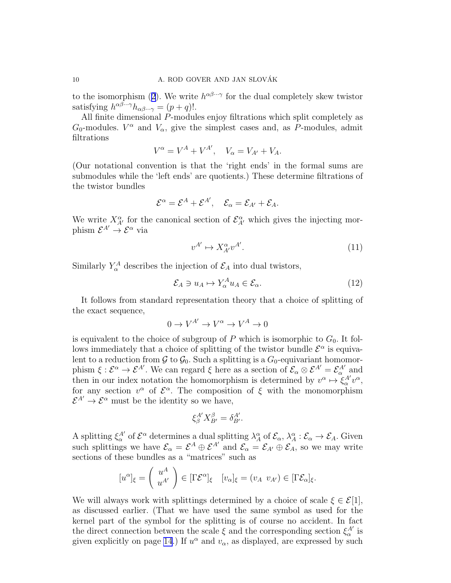<span id="page-9-0"></span>tothe isomorphism ([2](#page-5-0)). We write  $h^{\alpha\beta\cdots\gamma}$  for the dual completely skew twistor satisfying  $h^{\alpha\beta\cdots\gamma}h_{\alpha\beta\cdots\gamma} = (p+q)!$ .

All finite dimensional P-modules enjoy filtrations which split completely as  $G_0$ -modules.  $V^{\alpha}$  and  $V_{\alpha}$ , give the simplest cases and, as P-modules, admit filtrations

$$
V^{\alpha} = V^A + V^{A'}, \quad V_{\alpha} = V_{A'} + V_A.
$$

(Our notational convention is that the 'right ends' in the formal sums are submodules while the 'left ends' are quotients.) These determine filtrations of the twistor bundles

$$
\mathcal{E}^{\alpha}=\mathcal{E}^{A}+\mathcal{E}^{A'},\quad \mathcal{E}_{\alpha}=\mathcal{E}_{A'}+\mathcal{E}_{A}.
$$

We write  $X^{\alpha}_{A'}$  for the canonical section of  $\mathcal{E}^{\alpha}_{A'}$  which gives the injecting morphism  $\mathcal{E}^{A'} \rightarrow \mathcal{E}^{\alpha}$  via

$$
v^{A'} \mapsto X_{A'}^{\alpha} v^{A'}.\tag{11}
$$

Similarly  $Y^A_\alpha$  describes the injection of  $\mathcal{E}_A$  into dual twistors,

$$
\mathcal{E}_A \ni u_A \mapsto Y_\alpha^A u_A \in \mathcal{E}_\alpha. \tag{12}
$$

It follows from standard representation theory that a choice of splitting of the exact sequence,

$$
0 \to V^{A'} \to V^\alpha \to V^A \to 0
$$

is equivalent to the choice of subgroup of  $P$  which is isomorphic to  $G_0$ . It follows immediately that a choice of splitting of the twistor bundle  $\mathcal{E}^{\alpha}$  is equivalent to a reduction from  $G$  to  $G_0$ . Such a splitting is a  $G_0$ -equivariant homomorphism  $\xi : \mathcal{E}^{\alpha} \to \mathcal{E}^{A'}$ . We can regard  $\xi$  here as a section of  $\mathcal{E}_{\alpha} \otimes \mathcal{E}^{A'} = \mathcal{E}_{\alpha}^{A'}$  and then in our index notation the homomorphism is determined by  $v^{\alpha} \mapsto \xi_{\alpha}^{A'} v^{\alpha}$ , for any section  $v^{\alpha}$  of  $\mathcal{E}^{\alpha}$ . The composition of  $\xi$  with the monomorphism  $\mathcal{E}^{A'} \to \mathcal{E}^{\alpha}$  must be the identity so we have,

$$
\xi_{\beta}^{A'} X_{B'}^{\beta} = \delta_{B'}^{A'}.
$$

A splitting  $\xi^{\mathcal{A}'}_{\alpha}$  of  $\mathcal{E}^{\alpha}$  determines a dual splitting  $\lambda^{\alpha}_{A}$  of  $\mathcal{E}_{\alpha}$ ,  $\lambda^{\alpha}_{A}$ :  $\mathcal{E}_{\alpha} \to \mathcal{E}_{A}$ . Given such splittings we have  $\mathcal{E}_{\alpha} = \mathcal{E}^{A} \oplus \mathcal{E}^{A'}$  and  $\mathcal{E}_{\alpha} = \mathcal{E}_{A'} \oplus \mathcal{E}_{A}^{A}$ , so we may write sections of these bundles as a "matrices" such as

$$
[u^{\alpha}]_{\xi} = \begin{pmatrix} u^A \\ u^{A'} \end{pmatrix} \in [\Gamma \mathcal{E}^{\alpha}]_{\xi} \quad [v_{\alpha}]_{\xi} = (v_A \ v_{A'}) \in [\Gamma \mathcal{E}_{\alpha}]_{\xi}.
$$

We will always work with splittings determined by a choice of scale  $\xi \in \mathcal{E}[1]$ , as discussed earlier. (That we have used the same symbol as used for the kernel part of the symbol for the splitting is of course no accident. In fact the direct connection between the scale  $\xi$  and the corresponding section  $\xi_{\alpha}^{A'}$  is given explicitly on page [14](#page-13-0).) If  $u^{\alpha}$  and  $v_{\alpha}$ , as displayed, are expressed by such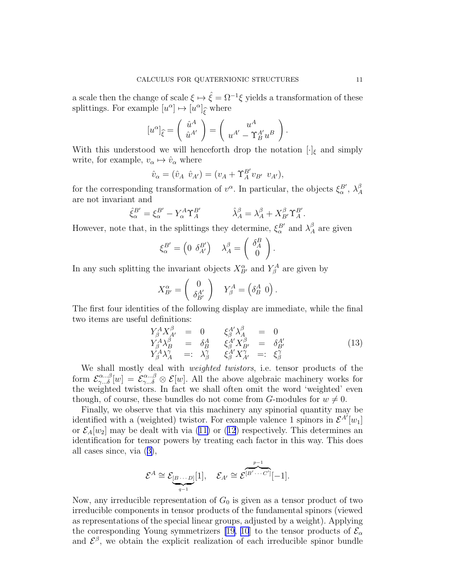<span id="page-10-0"></span>a scale then the change of scale  $\xi \mapsto \hat{\xi} = \Omega^{-1} \xi$  yields a transformation of these splittings. For example  $[u^{\alpha}] \mapsto [u^{\alpha}]_{\widehat{\xi}}$  where

$$
[u^{\alpha}]_{\widehat{\xi}} = \begin{pmatrix} \hat{u}^A \\ \hat{u}^{A'} \end{pmatrix} = \begin{pmatrix} u^A \\ u^{A'} - \Upsilon_B^{A'} u^B \end{pmatrix}.
$$

With this understood we will henceforth drop the notation  $[\cdot]_{\xi}$  and simply write, for example,  $v_{\alpha} \mapsto \hat{v}_{\alpha}$  where

$$
\hat{v}_{\alpha} = (\hat{v}_A \ \hat{v}_{A'}) = (v_A + \Upsilon_A^{B'} v_{B'} \ v_{A'}),
$$

for the corresponding transformation of  $v^{\alpha}$ . In particular, the objects  $\xi_{\alpha}^{B'}$ ,  $\lambda_{A}^{\beta}$ A are not invariant and

$$
\hat{\xi}_{\alpha}^{B'} = \xi_{\alpha}^{B'} - Y_{\alpha}^{A} \Upsilon_A^{B'}
$$
\n
$$
\hat{\lambda}_{A}^{\beta} = \lambda_{A}^{\beta} + X_{B'}^{\beta} \Upsilon_A^{B'}.
$$

However, note that, in the splittings they determine,  $\xi_{\alpha}^{B'}$  and  $\lambda_{A}^{\beta}$  are given

$$
\xi_{\alpha}^{B'} = \begin{pmatrix} 0 & \delta_{A'}^{B'} \end{pmatrix} \quad \lambda_A^{\beta} = \begin{pmatrix} \delta_A^B \\ 0 \end{pmatrix}.
$$

In any such splitting the invariant objects  $X_{B'}^{\alpha}$  and  $Y_{\beta}^A$  are given by

$$
X_{B'}^{\alpha} = \begin{pmatrix} 0 \\ \delta_{B'}^{A'} \end{pmatrix} Y_{\beta}^{A} = \begin{pmatrix} \delta_{B}^{A} & 0 \end{pmatrix}.
$$

The first four identities of the following display are immediate, while the final two items are useful definitions:

$$
Y^A_{\beta} X^A_{A'} = 0 \qquad \xi^{A'}_{\beta} \lambda^A_{A} = 0
$$
  
\n
$$
Y^A_{\beta} \lambda^B_{B} = \delta^A_{B} \qquad \xi^{A'}_{\beta} X^B_{B'} = \delta^{A'}_{B'}
$$
  
\n
$$
Y^A_{\beta} \lambda^{\gamma}_{A} =: \lambda^{\gamma}_{\beta} \qquad \xi^{A'}_{\beta} X^{\gamma}_{A'} =: \xi^{\gamma}_{\beta}
$$
\n(13)

We shall mostly deal with weighted twistors, i.e. tensor products of the form  $\mathcal{E}_{\gamma...\delta}^{\alpha...\beta}[w] = \mathcal{E}_{\gamma...\delta}^{\alpha...\beta} \otimes \mathcal{E}[w]$ . All the above algebraic machinery works for the weighted twistors. In fact we shall often omit the word 'weighted' even though, of course, these bundles do not come from G-modules for  $w \neq 0$ .

Finally, we observe that via this machinery any spinorial quantity may be identified with a (weighted) twistor. For example valence 1 spinors in  $\mathcal{E}^{A'}[w_1]$ or $\mathcal{E}_A[w_2]$  may be dealt with via ([11\)](#page-9-0) or ([12](#page-9-0)) respectively. This determines an identification for tensor powers by treating each factor in this way. This does all cases since, via([3\)](#page-5-0),

$$
\mathcal{E}^A \cong \underbrace{\mathcal{E}_{[B\cdots D]}[1]}_{q-1}, \quad \mathcal{E}_{A'} \cong \mathcal{E}^{[B'\cdots C']}[-1].
$$

Now, any irreducible representation of  $G_0$  is given as a tensor product of two irreducible components in tensor products of the fundamental spinors (viewed as representations of the special linear groups, adjusted by a weight). Applying the corresponding Young symmetrizers [\[19, 10](#page-42-0)] to the tensor products of  $\mathcal{E}_{\alpha}$ and  $\mathcal{E}^{\beta}$ , we obtain the explicit realization of each irreducible spinor bundle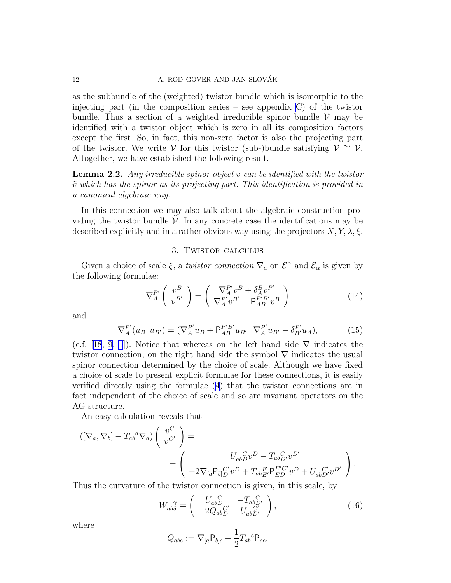#### 12 A. ROD GOVER AND JAN SLOVÁK

as the subbundle of the (weighted) twistor bundle which is isomorphic to the injecting part (in the composition series – see appendix C) of the twistor bundle. Thus a section of a weighted irreducible spinor bundle  $V$  may be identified with a twistor object which is zero in all its composition factors except the first. So, in fact, this non-zero factor is also the projecting part of the twistor. We write V for this twistor (sub-)bundle satisfying  $\mathcal{V} \cong \mathcal{V}$ . Altogether, we have established the following result.

**Lemma 2.2.** Any irreducible spinor object v can be identified with the twistor  $\tilde{v}$  which has the spinor as its projecting part. This identification is provided in a canonical algebraic way.

In this connection we may also talk about the algebraic construction providing the twistor bundle  $\mathcal V$ . In any concrete case the identifications may be described explicitly and in a rather obvious way using the projectors  $X, Y, \lambda, \xi$ .

## 3. Twistor calculus

Given a choice of scale  $\xi$ , a *twistor connection*  $\nabla_a$  on  $\mathcal{E}^{\alpha}$  and  $\mathcal{E}_{\alpha}$  is given by the following formulae:

$$
\nabla_A^{P'} \left( \begin{array}{c} v^B \\ v^{B'} \end{array} \right) = \left( \begin{array}{c} \nabla_A^{P'} v^B + \delta_A^B v^{P'} \\ \nabla_A^{P'} v^{B'} - \mathsf{P}_{AB}^{P'B'} v^B \end{array} \right) \tag{14}
$$

and

$$
\nabla_A^{P'}(u_B \ u_{B'}) = (\nabla_A^{P'} u_B + \mathsf{P}_{AB}^{P'B'} u_{B'} \ \nabla_A^{P'} u_{B'} - \delta_{B'}^{P'} u_A), \tag{15}
$$

(c.f.[[18](#page-42-0), [9, 1](#page-42-0)]). Notice that whereas on the left hand side  $\nabla$  indicates the twistor connection, on the right hand side the symbol  $\nabla$  indicates the usual spinor connection determined by the choice of scale. Although we have fixed a choice of scale to present explicit formulae for these connections, it is easily verified directly using the formulae([4](#page-7-0)) that the twistor connections are in fact independent of the choice of scale and so are invariant operators on the AG-structure.

An easy calculation reveals that

$$
\begin{aligned} ([\nabla_a, \nabla_b] - T_{ab}{}^d \nabla_d) \left( \begin{array}{c} v^C \\ v^{C'} \end{array} \right) &= \\ &= \left( \begin{array}{c} U_{ab}{}^C_D v^D - T_{ab}{}^C_D v^{D'} \\ -2 \nabla_{[a} \mathsf{P}_{b]D}{}^{C'} v^D + T_{ab}{}^E_{E'} \mathsf{P}_{ED}^{E'C'} v^D + U_{ab}{}^{C'}_{D'} v^{D'} \end{array} \right). \end{aligned}
$$

Thus the curvature of the twistor connection is given, in this scale, by

$$
W_{ab\delta}^{\ \ \gamma} = \begin{pmatrix} U_{abD}^{\ C} & -T_{abD'}^{\ C} \\ -2Q_{abD}^{\ C'} & U_{abD'}^{\ C'} \end{pmatrix},\tag{16}
$$

where

$$
Q_{abc} := \nabla_{[a} \mathsf{P}_{b]c} - \frac{1}{2} T_{ab}{}^e \mathsf{P}_{ec}.
$$

<span id="page-11-0"></span>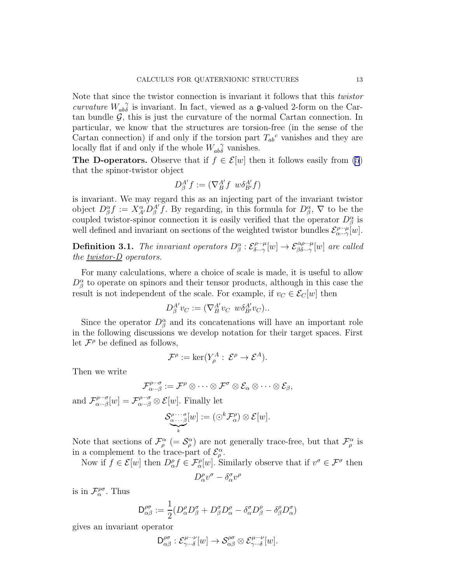<span id="page-12-0"></span>Note that since the twistor connection is invariant it follows that this twistor curvature  $W_{ab}^{\quad \gamma}$  $\gamma$  is invariant. In fact, viewed as a  $\mathfrak{g}\text{-valued}$  2-form on the Cartan bundle  $\mathcal{G}$ , this is just the curvature of the normal Cartan connection. In particular, we know that the structures are torsion-free (in the sense of the Cartan connection) if and only if the torsion part  $T_{ab}^c$  vanishes and they are locally flat if and only if the whole  $W_{ab}^{\ \ \gamma}$  vanishes.

The D-operators. Observe that if  $f \in \mathcal{E}[w]$  then it follows easily from [\(5](#page-7-0)) that the spinor-twistor object

$$
D_{\beta}^{A'}f := (\nabla_{B}^{A'}f \ w \delta_{B'}^{A'}f)
$$

is invariant. We may regard this as an injecting part of the invariant twistor object  $D^{\alpha}_{\beta} f := X^{\alpha}_{A'} D^{\beta'}_{\beta} f$ . By regarding, in this formula for  $D^{\alpha}_{\beta}$ ,  $\nabla$  to be the coupled twistor-spinor connection it is easily verified that the operator  $D^{\alpha}_{\beta}$  is well defined and invariant on sections of the weighted twistor bundles  $\mathcal{E}_{\alpha \cdots \gamma}^{\rho \cdots \mu}[\omega]$ .

**Definition 3.1.** The invariant operators  $D^{\alpha}_{\beta}$  :  $\mathcal{E}^{\rho\cdots\mu}_{\delta\cdots\gamma}$  $\mathcal{E}_{\delta\cdots\gamma}^{\rho\cdots\mu}[w] \to \mathcal{E}_{\beta\delta\cdots\gamma}^{\alpha\rho\cdots\mu}[w]$  are called the <u>twistor- $D$ </u> operators.

For many calculations, where a choice of scale is made, it is useful to allow  $D^{\alpha}_{\beta}$  to operate on spinors and their tensor products, although in this case the result is not independent of the scale. For example, if  $v_C \in \mathcal{E}_C[w]$  then

$$
D^{A'}_{\beta}v_C := (\nabla^{A'}_{B}v_C \ w \delta^{A'}_{B'}v_C).
$$

Since the operator  $D^{\alpha}_{\beta}$  and its concatenations will have an important role in the following discussions we develop notation for their target spaces. First let  $\mathcal{F}^{\rho}$  be defined as follows,

$$
\mathcal{F}^{\rho} := \ker(Y_{\rho}^{A} : \mathcal{E}^{\rho} \to \mathcal{E}^{A}).
$$

Then we write

$$
\mathcal{F}_{\alpha\cdots\beta}^{\rho\cdots\sigma}:=\mathcal{F}^\rho\otimes\cdots\otimes\mathcal{F}^\sigma\otimes\mathcal{E}_\alpha\otimes\cdots\otimes\mathcal{E}_\beta,
$$

and  $\mathcal{F}_{\alpha \cdots \beta}^{\rho \cdots \sigma}$  $\mathcal{F}_{\alpha \cdots \beta}^{\rho \cdots \sigma}[w] = \mathcal{F}_{\alpha \cdots \beta}^{\rho \cdots \sigma} \otimes \mathcal{E}[w]$ . Finally let

$$
\underbrace{\mathcal{S}^{\rho\cdots\sigma}_{\alpha\cdots\beta}}_{\textbf{k}}[w] := (\odot^k \mathcal{F}^{\rho}_{\alpha}) \otimes \mathcal{E}[w].
$$

Note that sections of  $\mathcal{F}_{\rho}^{\alpha}$  (=  $\mathcal{S}_{\rho}^{\alpha}$ ) are not generally trace-free, but that  $\mathcal{F}_{\rho}^{\alpha}$  is in a complement to the trace-part of  $\mathcal{E}_{\rho}^{\alpha}$ .

Now if  $f \in \mathcal{E}[w]$  then  $D_{\alpha}^{\rho} f \in \mathcal{F}_{\alpha}^{\rho}[w]$ . Similarly observe that if  $v^{\sigma} \in \mathcal{F}^{\sigma}$  then  $D^{\rho}_{\alpha}v^{\sigma} - \delta^{\sigma}_{\alpha}v^{\rho}$ 

is in  $\mathcal{F}_{\alpha}^{\rho\sigma}$ . Thus

$$
\mathsf{D}^{\rho\sigma}_{\alpha\beta} := \frac{1}{2} (D^\rho_\alpha D^\sigma_\beta + D^\sigma_\beta D^\rho_\alpha - \delta^\sigma_\alpha D^\rho_\beta - \delta^\rho_\beta D^\sigma_\alpha)
$$

gives an invariant operator

$$
\mathsf D_{\alpha\beta}^{\rho\sigma}: \mathcal E_{\gamma\cdots\delta}^{\mu\cdots\nu}[w] \to \mathcal S_{\alpha\beta}^{\rho\sigma}\otimes \mathcal E_{\gamma\cdots\delta}^{\mu\cdots\nu}[w].
$$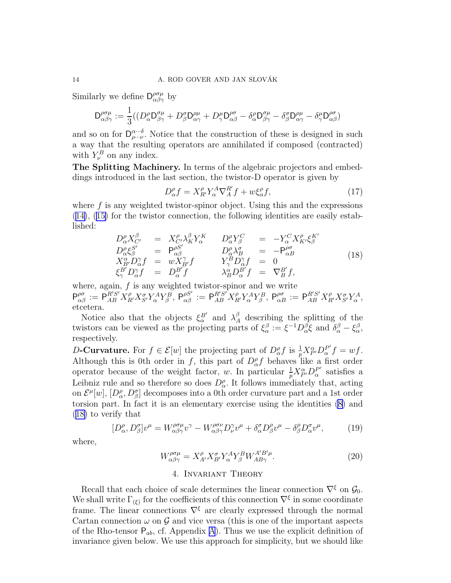<span id="page-13-0"></span>Similarly we define  $D^{\rho\sigma\mu}_{\alpha\beta\gamma}$  by

$$
\mathsf{D}^{\rho\sigma\mu}_{\alpha\beta\gamma}:=\frac{1}{3}((D^\rho_\alpha\mathsf{D}^{\sigma\mu}_{\beta\gamma}+D^\sigma_\beta\mathsf{D}^{\rho\mu}_{\alpha\gamma}+D^\mu_\gamma\mathsf{D}^{\rho\sigma}_{\alpha\beta}-\delta^\rho_\alpha\mathsf{D}^{\sigma\mu}_{\beta\gamma}-\delta^\sigma_\beta\mathsf{D}^{\rho\mu}_{\alpha\gamma}-\delta^\mu_\gamma\mathsf{D}^{\rho\sigma}_{\alpha\beta})
$$

and so on for  $D_{\rho\cdots\nu}^{\alpha\cdots\delta}$  $\alpha \rightarrow \beta \rightarrow \nu$ . Notice that the construction of these is designed in such a way that the resulting operators are annihilated if composed (contracted) with  $Y^B_\nu$  on any index.

The Splitting Machinery. In terms of the algebraic projectors and embeddings introduced in the last section, the twistor-D operator is given by

$$
D_{\alpha}^{\rho} f = X_{R'}^{\rho} Y_{\alpha}^{A} \nabla_A^{R'} f + w \xi_{\alpha}^{\rho} f,\tag{17}
$$

where  $f$  is any weighted twistor-spinor object. Using this and the expressions ([14\)](#page-11-0),([15\)](#page-11-0) for the twistor connection, the following identities are easily established:

$$
D^{\rho}_{\alpha} X^{\beta}_{C'} = X^{\rho}_{C'} \lambda^{\beta}_{K} Y^K_{\alpha} \t D^{\rho}_{\alpha} Y^C_{\beta} = -Y^C_{\alpha} X^{\rho}_{K'} \xi^K_{\beta'}
$$
  
\n
$$
D^{\rho}_{\alpha} \xi^S_{\beta} = P^{\rho S'}_{\alpha \beta} \t D^{\rho}_{\alpha} \lambda^{\sigma}_{B} = -P^{\rho \sigma}_{\alpha B}
$$
  
\n
$$
X^{\alpha}_{B'} D^{\gamma}_{\alpha} f = w X^{\gamma}_{B'} f \t Y^B_{\gamma} D^{\gamma}_{\alpha} f = 0
$$
  
\n
$$
\xi^B_{\gamma} D^{\gamma}_{\alpha} f = D^B_{\alpha} f \t \lambda^{\alpha}_{B} D^B_{\alpha} f = \nabla^B_{B} f,
$$
\n(18)

where, again,  $f$  is any weighted twistor-spinor and we write  $\mathsf{P}^{\rho\sigma}_{\alpha\beta}:=\mathsf{P}^{R'S'}_{AB}X^{\rho}_{R'}X^{\sigma}_{S'}Y^A_{\alpha}Y^B_{\beta},~\mathsf{P}^{\rho S'}_{\alpha\beta}:=\mathsf{P}^{R'S'}_{AB}X^{\rho}_{R'}Y^A_{\alpha}Y^B_{\beta},~\mathsf{P}^{\rho\sigma}_{\alpha B}:=\mathsf{P}^{R'S'}_{AB}X^{\rho}_{R'}X^{\sigma}_{S'}Y^A_{\alpha},$ etcetera.

Notice also that the objects  $\xi_{\alpha}^{B'}$  and  $\lambda_{A}^{\beta}$  describing the splitting of the twistors can be viewed as the projecting parts of  $\xi_{\alpha}^{\beta} := \xi^{-1} D_{\alpha}^{\beta} \xi$  and  $\delta_{\alpha}^{\beta} - \xi_{\alpha}^{\beta}$ , respectively.

D-Curvature. For  $f \in \mathcal{E}[w]$  the projecting part of  $D^{\rho}_{\alpha} f$  is  $\frac{1}{p} X^{\alpha}_{P'} D^{P'}_{\alpha}$  $a^{\prime\prime}f=wf.$ Although this is 0th order in f, this part of  $D_{\alpha}^{\rho} f$  behaves like a first order operator because of the weight factor, w. In particular  $\frac{1}{p} X_{P'}^{\alpha} D_{\alpha}^{P'}$  $\frac{P'}{\alpha}$  satisfies a Leibniz rule and so therefore so does  $D_{\alpha}^{\rho}$ . It follows immediately that, acting on  $\mathcal{E}^{\mu}[w], [D_{\alpha}^{\rho}, D_{\beta}^{\sigma}]$  decomposes into a 0th order curvature part and a 1st order torsion part. In fact it is an elementary exercise using the identities [\(8\)](#page-7-0) and (18) to verify that

$$
[D^{\rho}_{\alpha}, D^{\sigma}_{\beta}]v^{\mu} = W^{\rho\sigma\mu}_{\alpha\beta\gamma}v^{\gamma} - W^{\rho\sigma\nu}_{\alpha\beta\gamma}D^{\gamma}_{\nu}v^{\mu} + \delta^{\sigma}_{\alpha}D^{\rho}_{\beta}v^{\mu} - \delta^{\rho}_{\beta}D^{\sigma}_{\alpha}v^{\mu}, \qquad (19)
$$

where,

$$
W^{\rho\sigma\mu}_{\alpha\beta\gamma} = X^{\rho}_{A'} X^{\sigma}_{B'} Y^A_{\alpha} Y^B_{\beta} W^{A'B'\mu}_{AB\gamma}.
$$
 (20)

# 4. Invariant Theory

Recall that each choice of scale determines the linear connection  $\nabla^{\xi}$  on  $\mathcal{G}_0$ . We shall write  $\Gamma_{(\xi)}$  for the coefficients of this connection  $\nabla^{\xi}$  in some coordinate frame. The linear connections  $\nabla^{\xi}$  are clearly expressed through the normal Cartan connection  $\omega$  on  $\mathcal G$  and vice versa (this is one of the important aspects of the Rho-tensor  $P_{ab}$ , cf. [A](#page-0-0)ppendix A). Thus we use the explicit definition of invariance given below. We use this approach for simplicity, but we should like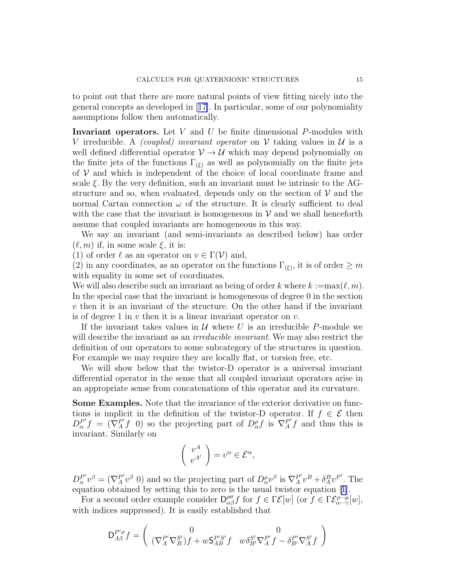to point out that there are more natural points of view fitting nicely into the general concepts as developed in[[17\]](#page-42-0). In particular, some of our polynomiality assumptions follow then automatically.

**Invariant operators.** Let  $V$  and  $U$  be finite dimensional  $P$ -modules with V irreducible. A *(coupled)* invariant operator on V taking values in U is a well defined differential operator  $V \rightarrow U$  which may depend polynomially on the finite jets of the functions  $\Gamma_{(\xi)}$  as well as polynomially on the finite jets of  $V$  and which is independent of the choice of local coordinate frame and scale  $\xi$ . By the very definition, such an invariant must be intrinsic to the AGstructure and so, when evaluated, depends only on the section of  $V$  and the normal Cartan connection  $\omega$  of the structure. It is clearly sufficient to deal with the case that the invariant is homogeneous in  $\mathcal V$  and we shall henceforth assume that coupled invariants are homogeneous in this way.

We say an invariant (and semi-invariants as described below) has order  $(\ell, m)$  if, in some scale  $\xi$ , it is:

(1) of order  $\ell$  as an operator on  $v \in \Gamma(\mathcal{V})$  and,

(2) in any coordinates, as an operator on the functions  $\Gamma_{(\xi)}$ , it is of order  $\geq m$ with equality in some set of coordinates.

We will also describe such an invariant as being of order k where  $k := max(\ell, m)$ . In the special case that the invariant is homogeneous of degree 0 in the section v then it is an invariant of the structure. On the other hand if the invariant is of degree 1 in  $v$  then it is a linear invariant operator on  $v$ .

If the invariant takes values in  $U$  where U is an irreducible P-module we will describe the invariant as an *irreducible invariant*. We may also restrict the definition of our operators to some subcategory of the structures in question. For example we may require they are locally flat, or torsion free, etc.

We will show below that the twistor-D operator is a universal invariant differential operator in the sense that all coupled invariant operators arise in an appropriate sense from concatenations of this operator and its curvature.

Some Examples. Note that the invariance of the exterior derivative on functions is implicit in the definition of the twistor-D operator. If  $f \in \mathcal{E}$  then  $D_{\alpha}^{P'}f = (\nabla_A^P f \, 0)$  so the projecting part of  $D_{\alpha}^{\rho} f$  is  $\nabla_A^P f$  and thus this is invariant. Similarly on

$$
\left(\begin{array}{c}v^A\\v^{A'}\end{array}\right)=v^\alpha\in\mathcal{E}^\alpha,
$$

 $D_{\alpha}^{P'}$  $P'_{\alpha}v^{\beta} = (\nabla_A^{P'}v^{\beta} 0)$  and so the projecting part of  $D_{\alpha}^{\rho}v^{\beta}$  is  $\nabla_A^{P'}v^B + \delta_A^B v^{P'}$ . The equation obtained by setting this to zero is the usual twistor equation[[1\]](#page-42-0).

For a second order example consider  $D_{\alpha\beta}^{\rho\sigma}f$  for  $f \in \Gamma \mathcal{E}[w]$  (or  $f \in \Gamma \mathcal{E}_{\alpha \cdots \gamma}^{\rho \cdots \mu}[w],$ with indices suppressed). It is easily established that

$$
\mathsf{D}_{A\beta}^{P'\sigma}f=\left(\begin{array}{cc}0&0\\(\nabla^P_A\nabla^S_B)f+w\mathsf{S}^{P'S'}_{AB}f&w\delta^{S'}_{B'}\nabla^{P'}_Af-\delta^{P'}_{B'}\nabla^{S'}_Af\end{array}\right)
$$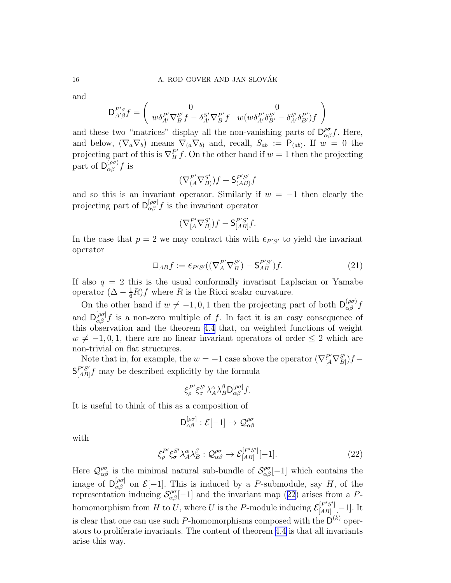and

$$
\mathsf{D}^{P'\sigma}_{A'\beta}f = \left(\begin{array}{cc} 0 & 0 \\ w\delta_{A'}^{P'}\nabla_{B}^{S'}f - \delta_{A'}^{S'}\nabla_{B}^{P'}f & w(w\delta_{A'}^{P'}\delta_{B'}^{S'} - \delta_{A'}^{S'}\delta_{B'}^{P'})f \end{array}\right)
$$

and these two "matrices" display all the non-vanishing parts of  $D^{\rho\sigma}_{\alpha\beta}f$ . Here, and below,  $(\nabla_a \nabla_b)$  means  $\nabla_{(a} \nabla_{b)}$  and, recall,  $S_{ab} := \mathsf{P}_{(ab)}$ . If  $w = 0$  the projecting part of this is  $\nabla_B^{P'} f$ . On the other hand if  $w = 1$  then the projecting part of  $\mathsf{D}^{(\rho\sigma)}_{\alpha\beta}f$  is

$$
(\nabla^{P'}_{(A}\nabla^{S'}_{B)})f+\mathsf{S}^{P'S'}_{(AB)}f
$$

and so this is an invariant operator. Similarly if  $w = -1$  then clearly the projecting part of  $D_{\alpha\beta}^{[\rho\sigma]}f$  is the invariant operator

$$
(\nabla^{P'}_{[A}\nabla^{S'}_{B]})f - \mathsf{S}^{P'S'}_{[AB]}f.
$$

In the case that  $p = 2$  we may contract this with  $\epsilon_{P'S'}$  to yield the invariant operator

$$
\Box_{AB} f := \epsilon_{P'S'}((\nabla_A^{P'} \nabla_B^{S'}) - \mathsf{S}_{AB}^{P'S'}) f. \tag{21}
$$

If also  $q = 2$  this is the usual conformally invariant Laplacian or Yamabe operator  $(\Delta - \frac{1}{6}R)f$  where R is the Ricci scalar curvature.

On the other hand if  $w \neq -1, 0, 1$  then the projecting part of both  $\mathsf{D}_{\alpha\beta}^{(\rho\sigma)}f$ and  $D_{\alpha\beta}^{[\rho\sigma]}f$  is a non-zero multiple of f. In fact it is an easy consequence of this observation and the theorem [4.4](#page-22-0) that, on weighted functions of weight  $w \neq -1, 0, 1$ , there are no linear invariant operators of order  $\leq 2$  which are non-trivial on flat structures.

Note that in, for example, the  $w = -1$  case above the operator  $(\nabla_{[A}^{P'} \nabla_{B]}^{S'}$  $_{B]}^{S'}$ ) $f S^{P'S'}_{[AD]}$  $\frac{P'S'}{[AB]}f$  may be described explicitly by the formula

$$
\xi_{\rho}^{P'}\xi_{\sigma}^{S'}\lambda_{A}^{\alpha}\lambda_{B}^{\beta}\mathsf{D}^{[\rho\sigma]}_{\alpha\beta}f.
$$

It is useful to think of this as a composition of

$$
\mathsf{D}^{[\rho\sigma]}_{\alpha\beta} : \mathcal{E}[-1] \to \mathcal{Q}^{\rho\sigma}_{\alpha\beta}
$$

with

$$
\xi_{\rho}^{P'} \xi_{\sigma}^{S'} \lambda_A^{\alpha} \lambda_B^{\beta} : \mathcal{Q}_{\alpha\beta}^{\rho\sigma} \to \mathcal{E}_{[AB]}^{[P'S']}[-1]. \tag{22}
$$

Here  $\mathcal{Q}^{\rho\sigma}_{\alpha\beta}$  is the minimal natural sub-bundle of  $\mathcal{S}^{\rho\sigma}_{\alpha\beta}[-1]$  which contains the image of  $D_{\alpha\beta}^{[\rho\sigma]}$  on  $\mathcal{E}[-1]$ . This is induced by a P-submodule, say H, of the representation inducing  $\mathcal{S}^{\rho\sigma}_{\alpha\beta}[-1]$  and the invariant map (22) arises from a Phomomorphism from H to U, where U is the P-module inducing  $\mathcal{E}_{[AB]}^{[P'S']}$  $\left[\begin{smallmatrix}I & S & I\\AB & I\end{smallmatrix}\right]$   $[-1]$ . It is clear that one can use such P-homomorphisms composed with the  $\mathsf{D}^{(k)}$  operators to proliferate invariants. The content of theorem [4.4](#page-22-0) is that all invariants arise this way.

<span id="page-15-0"></span>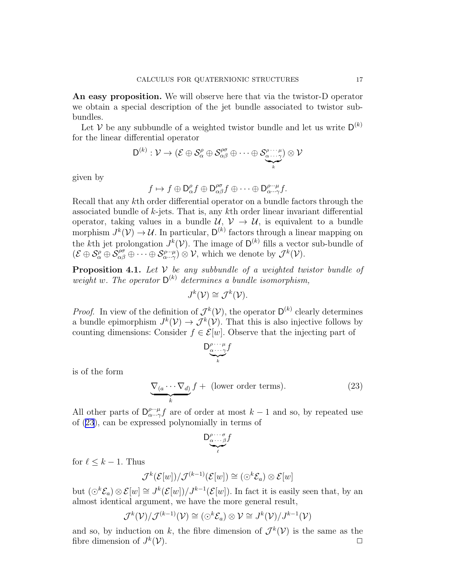An easy proposition. We will observe here that via the twistor-D operator we obtain a special description of the jet bundle associated to twistor subbundles.

Let V be any subbundle of a weighted twistor bundle and let us write  $D^{(k)}$ for the linear differential operator

$$
D^{(k)}: \mathcal{V} \to (\mathcal{E} \oplus \mathcal{S}_{\alpha}^{\rho} \oplus \mathcal{S}_{\alpha\beta}^{\rho\sigma} \oplus \cdots \oplus \mathcal{S}_{\underbrace{\alpha \cdots \alpha}_{k}}^{\rho \cdots \mu}) \otimes \mathcal{V}
$$

given by

$$
f \mapsto f \oplus \mathsf{D}_{\alpha}^{\rho} f \oplus \mathsf{D}_{\alpha\beta}^{\rho\sigma} f \oplus \cdots \oplus \mathsf{D}_{\alpha \cdots \gamma}^{\rho \cdots \mu} f.
$$

Recall that any kth order differential operator on a bundle factors through the associated bundle of k-jets. That is, any kth order linear invariant differential operator, taking values in a bundle  $\mathcal{U}, \mathcal{V} \to \mathcal{U}$ , is equivalent to a bundle morphism  $J^k(\mathcal{V}) \to \mathcal{U}$ . In particular,  $\mathsf{D}^{(k)}$  factors through a linear mapping on the kth jet prolongation  $J^k(\mathcal{V})$ . The image of  $\mathsf{D}^{(k)}$  fills a vector sub-bundle of  $(\mathcal{E} \oplus \mathcal{S}_{\alpha}^{\rho} \oplus \widetilde{\mathcal{S}}_{\alpha\beta}^{\rho\sigma} \oplus \cdots \oplus \mathcal{S}_{\alpha \cdots \gamma}^{\rho \cdots \mu}) \otimes \mathcal{V}$ , which we denote by  $\mathcal{J}^{k}(\mathcal{V})$ .

**Proposition 4.1.** Let  $V$  be any subbundle of a weighted twistor bundle of weight w. The operator  $D^{(k)}$  determines a bundle isomorphism,

$$
J^k(\mathcal{V}) \cong \mathcal{J}^k(\mathcal{V}).
$$

*Proof.* In view of the definition of  $\mathcal{J}^k(\mathcal{V})$ , the operator  $\mathsf{D}^{(k)}$  clearly determines a bundle epimorphism  $J^k(\mathcal{V}) \to \mathcal{J}^k(\mathcal{V})$ . That this is also injective follows by counting dimensions: Consider  $f \in \mathcal{E}[w]$ . Observe that the injecting part of

$$
D_{\underbrace{\alpha \cdots \gamma}_{k}}^{\rho \cdots \mu}f
$$

is of the form

$$
\underbrace{\nabla_{(a}\cdots\nabla_{d)}}_{k}f + \text{ (lower order terms).}\tag{23}
$$

All other parts of  $D_{\alpha \cdots \alpha}^{\rho \cdots \mu}$  $\lim_{\alpha \to \gamma} f$  are of order at most  $k-1$  and so, by repeated use of (23), can be expressed polynomially in terms of

$$
\underbrace{D_{\alpha\cdots\beta}^{\rho\cdots\sigma}f}_{\ell}
$$

for  $\ell \leq k-1$ . Thus

$$
\mathcal{J}^k(\mathcal{E}[w]) / \mathcal{J}^{(k-1)}(\mathcal{E}[w]) \cong (\odot^k \mathcal{E}_a) \otimes \mathcal{E}[w]
$$

but  $(\bigcirc^k \mathcal{E}_a) \otimes \mathcal{E}[w] \cong J^k(\mathcal{E}[w])/J^{k-1}(\mathcal{E}[w])$ . In fact it is easily seen that, by an almost identical argument, we have the more general result,

$$
\mathcal{J}^k(\mathcal{V})/\mathcal{J}^{(k-1)}(\mathcal{V}) \cong (\odot^k \mathcal{E}_a) \otimes \mathcal{V} \cong J^k(\mathcal{V})/J^{k-1}(\mathcal{V})
$$

and so, by induction on k, the fibre dimension of  $\mathcal{J}^k(\mathcal{V})$  is the same as the fibre dimension of  $J^k$  $(\mathcal{V})$ .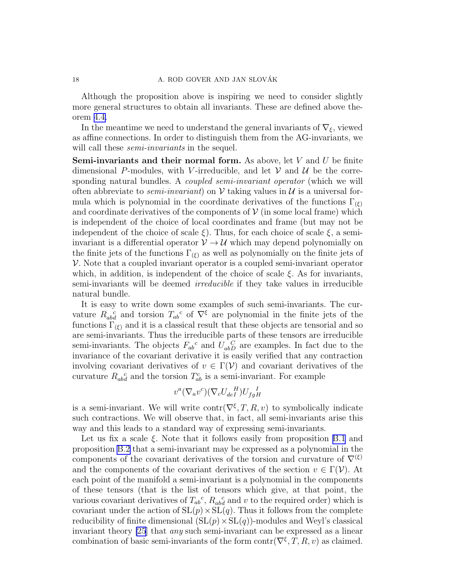Although the proposition above is inspiring we need to consider slightly more general structures to obtain all invariants. These are defined above theorem [4.4.](#page-22-0)

In the meantime we need to understand the general invariants of  $\nabla_{\xi}$ , viewed as affine connections. In order to distinguish them from the AG-invariants, we will call these *semi-invariants* in the sequel.

**Semi-invariants and their normal form.** As above, let  $V$  and  $U$  be finite dimensional P-modules, with V-irreducible, and let  $\mathcal V$  and  $\mathcal U$  be the corresponding natural bundles. A *coupled semi-invariant operator* (which we will often abbreviate to *semi-invariant*) on  $V$  taking values in  $U$  is a universal formula which is polynomial in the coordinate derivatives of the functions  $\Gamma_{(\xi)}$ and coordinate derivatives of the components of  $V$  (in some local frame) which is independent of the choice of local coordinates and frame (but may not be independent of the choice of scale  $\xi$ ). Thus, for each choice of scale  $\xi$ , a semiinvariant is a differential operator  $V \rightarrow U$  which may depend polynomially on the finite jets of the functions  $\Gamma_{(\xi)}$  as well as polynomially on the finite jets of  $\mathcal V$ . Note that a coupled invariant operator is a coupled semi-invariant operator which, in addition, is independent of the choice of scale  $\xi$ . As for invariants, semi-invariants will be deemed irreducible if they take values in irreducible natural bundle.

It is easy to write down some examples of such semi-invariants. The curvature  $R_{ab}^{\ \ c}$  and torsion  $T_{ab}^{\ c}$  of  $\nabla^{\xi}$  are polynomial in the finite jets of the functions  $\Gamma_{(\xi)}$  and it is a classical result that these objects are tensorial and so are semi-invariants. Thus the irreducible parts of these tensors are irreducible semi-invariants. The objects  $F_{ab}{}^c$  and  $U_{ab}{}^C_D$  are examples. In fact due to the invariance of the covariant derivative it is easily verified that any contraction involving covariant derivatives of  $v \in \Gamma(\mathcal{V})$  and covariant derivatives of the curvature  $R_{ab}^{\ \ c}$  and the torsion  $T_{ab}^c$  is a semi-invariant. For example

$$
v^a (\nabla_a v^c) (\nabla_c U_{deI}^{\ \ H}) U_{fgH}^{\ \ I}
$$

is a semi-invariant. We will write  $\text{contr}(\nabla^{\xi}, T, R, v)$  to symbolically indicate such contractions. We will observe that, in fact, all semi-invariants arise this way and this leads to a standard way of expressing semi-invariants.

Let us fix a scale  $\xi$ . Note that it follows easily from proposition [B.1](#page-36-0) and proposition [B.2](#page-37-0) that a semi-invariant may be expressed as a polynomial in the components of the covariant derivatives of the torsion and curvature of  $\nabla^{(\xi)}$ and the components of the covariant derivatives of the section  $v \in \Gamma(\mathcal{V})$ . At each point of the manifold a semi-invariant is a polynomial in the components of these tensors (that is the list of tensors which give, at that point, the various covariant derivatives of  $T_{ab}{}^c$ ,  $R_{ab}{}^c_d$  and v to the required order) which is covariant under the action of  $SL(p) \times SL(q)$ . Thus it follows from the complete reducibility of finite dimensional  $(SL(p) \times SL(q))$ -modules and Weyl's classical invariant theory [\[25](#page-43-0)] that any such semi-invariant can be expressed as a linear combination of basic semi-invariants of the form  $\text{contr}(\nabla^{\xi}, T, R, v)$  as claimed.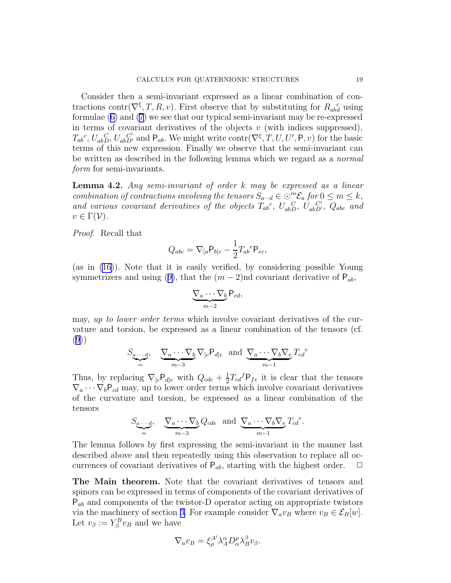<span id="page-18-0"></span>Consider then a semi-invariant expressed as a linear combination of contractions contr( $\nabla^{\xi}, T, R, v$ ). First observe that by substituting for  $R_{ab}^{\ \ c}$  using formulae([6\)](#page-7-0) and [\(7](#page-7-0)) we see that our typical semi-invariant may be re-expressed in terms of covariant derivatives of the objects  $v$  (with indices suppressed),  $T_{ab}^c$ ,  $U_{abD}^c$ ,  $U_{abD'}^c$  and  $P_{ab}$ . We might write contr $(\nabla^{\xi}, T, U, U', P, v)$  for the basic terms of this new expression. Finally we observe that the semi-invariant can be written as described in the following lemma which we regard as a normal form for semi-invariants.

**Lemma 4.2.** Any semi-invariant of order  $k$  may be expressed as a linear combination of contractions involving the tensors  $S_{a\cdots d} \in \bigcirc^m \mathcal{E}_a$  for  $0 \leq m \leq k$ , and various covariant derivatives of the objects  $T_{ab}^c$ ,  $U_{abD}^c$ ,  $U_{abD'}^c$ ,  $Q_{abc}$  and  $v \in \Gamma(\mathcal{V})$ .

Proof. Recall that

$$
Q_{abc} = \nabla_{[a} \mathsf{P}_{b]c} - \frac{1}{2} T_{ab}{}^e \mathsf{P}_{ec},
$$

(as in [\(16\)](#page-11-0)). Note that it is easily verified, by considering possible Young symmetrizersand using ([9\)](#page-8-0), that the  $(m-2)$ nd covariant derivative of  $P_{ab}$ ,

$$
\underbrace{\nabla_a \cdots \nabla_b}_{m-2} P_{cd},
$$

may, up to lower order terms which involve covariant derivatives of the curvature and torsion, be expressed as a linear combination of the tensors (cf. ([9\)](#page-8-0))

$$
S_{\underbrace{a\cdots d}_{m}}, \quad \underbrace{\nabla_a \cdots \nabla_b}_{m-3} \nabla_{[c} P_{d]e} \text{ and } \underbrace{\nabla_a \cdots \nabla_b \nabla_e}_{m-1} T_{cd}^e
$$

Thus, by replacing  $\nabla_{[c}P_{d]e}$  with  $Q_{cde} + \frac{1}{2}$  $\frac{1}{2}T_{cd}^{f}P_{fe}$  it is clear that the tensors  $\nabla_a \cdots \nabla_b P_{cd}$  may, up to lower order terms which involve covariant derivatives of the curvature and torsion, be expressed as a linear combination of the tensors

$$
S_{a \cdots d}, \quad \underbrace{\nabla_a \cdots \nabla_b}_{m-3} Q_{cde} \quad \text{and} \quad \underbrace{\nabla_a \cdots \nabla_b \nabla_e}_{m-1} T_{cd}^e.
$$

The lemma follows by first expressing the semi-invariant in the manner last described above and then repeatedly using this observation to replace all occurrences of covariant derivatives of  $P_{ab}$ , starting with the highest order.  $\Box$ 

The Main theorem. Note that the covariant derivatives of tensors and spinors can be expressed in terms of components of the covariant derivatives of  $P_{ab}$  and components of the twistor-D operator acting on appropriate twistors via the machinery of section [3.](#page-11-0) For example consider  $\nabla_a v_B$  where  $v_B \in \mathcal{E}_B[w]$ . Let  $v_\beta := Y_\beta^B v_B$  and we have

$$
\nabla_a v_B = \xi_\rho^{A'} \lambda_A^\alpha D_\alpha^\rho \lambda_B^\beta v_\beta.
$$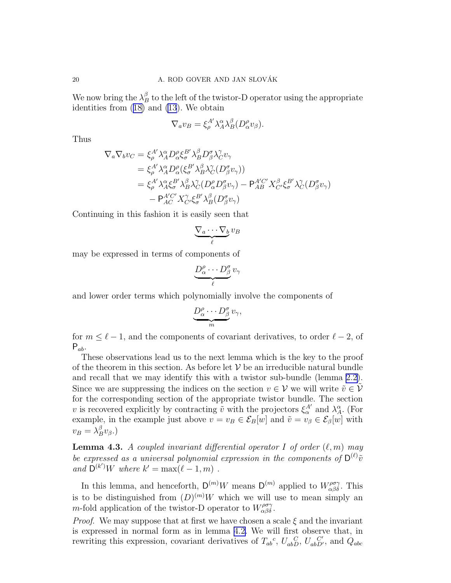<span id="page-19-0"></span>We now bring the  $\lambda_B^{\beta}$  to the left of the twistor-D operator using the appropriate identities from([18\)](#page-13-0) and [\(13](#page-10-0)). We obtain

$$
\nabla_a v_B = \xi_\rho^{A'} \lambda_A^\alpha \lambda_B^\beta (D_\alpha^\rho v_\beta).
$$

Thus

$$
\nabla_a \nabla_b v_C = \xi_{\rho}^{A'} \lambda_A^{\alpha} D_{\alpha}^{\rho} \xi_{\sigma}^{B'} \lambda_B^{\beta} D_{\beta}^{\sigma} \lambda_C^{\gamma} v_{\gamma}
$$
  
\n
$$
= \xi_{\rho}^{A'} \lambda_A^{\alpha} D_{\alpha}^{\rho} (\xi_{\sigma}^{B'} \lambda_B^{\beta} \lambda_C^{\gamma} (D_{\beta}^{\sigma} v_{\gamma}))
$$
  
\n
$$
= \xi_{\rho}^{A'} \lambda_A^{\alpha} \xi_{\sigma}^{B'} \lambda_B^{\beta} \lambda_C^{\gamma} (D_{\alpha}^{\rho} D_{\beta}^{\sigma} v_{\gamma}) - P_{AB}^{A'C'} X_{C'}^{\beta} \xi_{\sigma}^{B'} \lambda_C^{\gamma} (D_{\beta}^{\sigma} v_{\gamma})
$$
  
\n
$$
- P_{AC}^{A'C'} X_{C'}^{\gamma} \xi_{\sigma}^{B'} \lambda_B^{\beta} (D_{\beta}^{\sigma} v_{\gamma})
$$

Continuing in this fashion it is easily seen that

$$
\underbrace{\nabla_a \cdots \nabla_b}_{\ell} v_B
$$

may be expressed in terms of components of

$$
\underbrace{D^{\rho}_{\alpha}\cdots D^{\sigma}_{\beta}}_{\ell}v_{\gamma}
$$

and lower order terms which polynomially involve the components of

$$
\underbrace{D_{\alpha}^{\rho}\cdots D_{\beta}^{\sigma}}_{m}v_{\gamma},
$$

for  $m \leq \ell - 1$ , and the components of covariant derivatives, to order  $\ell - 2$ , of  $P_{ab}$ .

These observations lead us to the next lemma which is the key to the proof of the theorem in this section. As before let  $V$  be an irreducible natural bundle and recall that we may identify this with a twistor sub-bundle (lemma [2.2](#page-11-0)). Since we are suppressing the indices on the section  $v \in \mathcal{V}$  we will write  $\tilde{v} \in \tilde{\mathcal{V}}$ for the corresponding section of the appropriate twistor bundle. The section v is recovered explicitly by contracting  $\tilde{v}$  with the projectors  $\xi^{\mathcal{A}'}_{\alpha}$  and  $\lambda^{\alpha}_{\mathcal{A}}$ . (For example, in the example just above  $v = v_B \in \mathcal{E}_B[w]$  and  $\tilde{v} = v_\beta \in \mathcal{E}_B[w]$  with  $v_B = \lambda_B^{\beta} v_{\beta}.$ 

**Lemma 4.3.** A coupled invariant differential operator I of order  $(\ell, m)$  may be expressed as a universal polynomial expression in the components of  $D^{(\ell)}\tilde{v}$ and  $\mathsf{D}^{(k')}W$  where  $k' = \max(\ell - 1, m)$ .

In this lemma, and henceforth,  $\mathsf{D}^{(m)}W$  means  $\mathsf{D}^{(m)}$  applied to  $W_{\alpha\beta\delta}^{\rho\sigma\gamma}$ . This is to be distinguished from  $(D)^{(m)}W$  which we will use to mean simply an m-fold application of the twistor-D operator to  $W^{\rho\sigma\gamma}_{\alpha\beta\delta}$ .

*Proof.* We may suppose that at first we have chosen a scale  $\xi$  and the invariant is expressed in normal form as in lemma [4.2.](#page-18-0) We will first observe that, in rewriting this expression, covariant derivatives of  $T_{ab}{}^c$ ,  $U_{ab}{}^C_D$ ,  $U_{ab}{}^C_D'$ , and  $\hat{Q}_{abc}$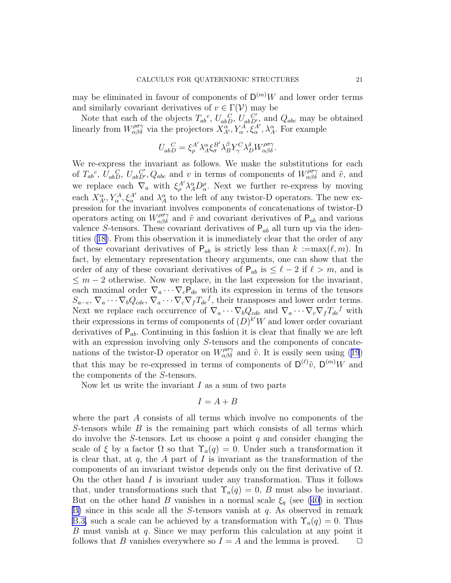may be eliminated in favour of components of  $\mathsf{D}^{(m)}W$  and lower order terms and similarly covariant derivatives of  $v \in \Gamma(\mathcal{V})$  may be

Note that each of the objects  $T_{ab}{}^c$ ,  $U_{ab}{}^C_D$ ,  $U'_{ab}{}^C_D$ , and  $Q_{abc}$  may be obtained linearly from  $W_{\alpha\beta\delta}^{\rho\sigma\gamma}$  via the projectors  $X_{A'}^{\alpha\gamma}$ ,  $Y_{\alpha}^A$ ,  $\xi_{\alpha}^A$ ,  $\lambda_A^{\alpha}$ . For example

$$
U_{abD}^{~~C} = \xi_{\rho}^{A'} \lambda_A^{\alpha} \xi_{\sigma}^{B'} \lambda_B^{\beta} Y_{\gamma}^{C} \lambda_D^{\delta} W_{\alpha\beta\delta}^{\rho\sigma\gamma}.
$$

We re-express the invariant as follows. We make the substitutions for each of  $T_{ab}^c$ ,  $\dot{U}_{abD}^c$ ,  $U_{abD'}^c$ ,  $Q_{abc}$  and v in terms of components of  $W_{\alpha\beta\delta}^{\rho\sigma\gamma}$  and  $\tilde{v}$ , and we replace each  $\nabla_a$  with  $\xi^A_\rho \lambda^{\alpha}_A D^{\rho}_\alpha$ . Next we further re-express by moving each  $X_{A'}^{\alpha}$ ,  $Y_{\alpha}^{A}$ ,  $\xi_{\alpha}^{A'}$  and  $\lambda_{A}^{\alpha}$  to the left of any twistor-D operators. The new expression for the invariant involves components of concatenations of twistor-D operators acting on  $W^{\rho\sigma\gamma}_{\alpha\beta\delta}$  and  $\tilde{v}$  and covariant derivatives of  $P_{ab}$  and various valence S-tensors. These covariant derivatives of  $P_{ab}$  all turn up via the identities([18\)](#page-13-0). From this observation it is immediately clear that the order of any of these covariant derivatives of  $P_{ab}$  is strictly less than  $k := max(\ell, m)$ . In fact, by elementary representation theory arguments, one can show that the order of any of these covariant derivatives of  $P_{ab}$  is  $\leq \ell - 2$  if  $\ell > m$ , and is  $\leq m-2$  otherwise. Now we replace, in the last expression for the invariant, each maximal order  $\nabla_a \cdots \nabla_c P_{de}$  with its expression in terms of the tensors  $S_{a\cdots e}$ ,  $\nabla_a \cdots \nabla_b Q_{cde}$ ,  $\nabla_a \cdots \nabla_c \nabla_f T_{de}^f$ , their transposes and lower order terms. Next we replace each occurrence of  $\nabla_a \cdots \nabla_b Q_{cde}$  and  $\nabla_a \cdots \nabla_c \nabla_f T_{de}^f$  with their expressions in terms of components of  $(D)^{k'}W$  and lower order covariant derivatives of  $P_{ab}$ . Continuing in this fashion it is clear that finally we are left with an expression involving only S-tensors and the components of concatenationsof the twistor-D operator on  $W_{\alpha\beta\delta}^{\rho\sigma\gamma}$  and  $\tilde{v}$ . It is easily seen using ([19](#page-13-0)) that this may be re-expressed in terms of components of  $D^{(\ell)}\tilde{v}$ ,  $D^{(m)}W$  and the components of the S-tensors.

Now let us write the invariant  $I$  as a sum of two parts

$$
I = A + B
$$

where the part  $A$  consists of all terms which involve no components of the S-tensors while  $B$  is the remaining part which consists of all terms which do involve the S-tensors. Let us choose a point  $q$  and consider changing the scale of  $\xi$  by a factor  $\Omega$  so that  $\Upsilon_a(q) = 0$ . Under such a transformation it is clear that, at  $q$ , the  $\tilde{A}$  part of  $I$  is invariant as the transformation of the components of an invariant twistor depends only on the first derivative of  $\Omega$ . On the other hand  $I$  is invariant under any transformation. Thus it follows that, under transformations such that  $\Upsilon_a(q) = 0$ , B must also be invariant. But on the other hand B vanishes in a normal scale  $\xi_q$  (see [\(40\)](#page-37-0) in section [B\)](#page-4-0) since in this scale all the S-tensors vanish at  $q$ . As observed in remark [B.3,](#page-38-0) such a scale can be achieved by a transformation with  $\Upsilon_a(q) = 0$ . Thus B must vanish at q. Since we may perform this calculation at any point it follows that B vanishes everywhere so  $I = A$  and the lemma is proved.  $\Box$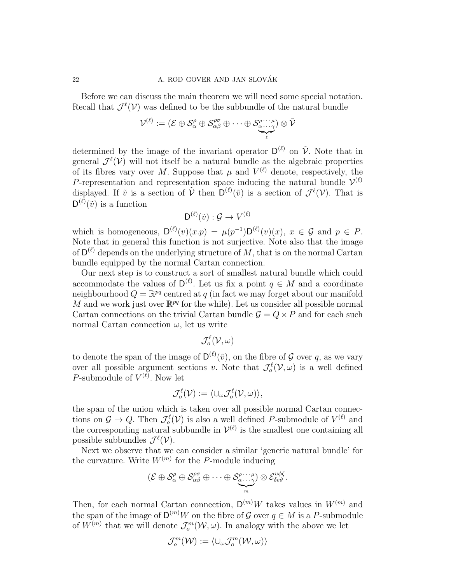#### 22 A. ROD GOVER AND JAN SLOVÁK

Before we can discuss the main theorem we will need some special notation. Recall that  $\mathcal{J}^{\ell}(\mathcal{V})$  was defined to be the subbundle of the natural bundle

$$
\mathcal{V}^{(\ell)}:=(\mathcal{E}\oplus\mathcal{S}_{\alpha}^{\rho}\oplus\mathcal{S}_{\alpha\beta}^{\rho\sigma}\oplus\cdots\oplus\mathcal{S}_{\alpha\cdots\gamma}^{\rho\cdots\mu})\otimes\tilde{\mathcal{V}}
$$

determined by the image of the invariant operator  $D^{(\ell)}$  on  $\tilde{\mathcal{V}}$ . Note that in general  $\mathcal{J}^{\ell}(\mathcal{V})$  will not itself be a natural bundle as the algebraic properties of its fibres vary over M. Suppose that  $\mu$  and  $V^{(\ell)}$  denote, respectively, the P-representation and representation space inducing the natural bundle  $\mathcal{V}^{(\ell)}$ displayed. If  $\tilde{v}$  is a section of  $\tilde{V}$  then  $D^{(\ell)}(\tilde{v})$  is a section of  $\mathcal{J}^{\ell}(\mathcal{V})$ . That is  $D^{(\ell)}(\tilde{v})$  is a function

$$
\mathsf{D}^{(\ell)}(\tilde{v}): \mathcal{G} \to V^{(\ell)}
$$

which is homogeneous,  $D^{(\ell)}(v)(x \cdot p) = \mu(p^{-1})D^{(\ell)}(v)(x), x \in \mathcal{G}$  and  $p \in P$ . Note that in general this function is not surjective. Note also that the image of  $\mathsf{D}^{(\ell)}$  depends on the underlying structure of M, that is on the normal Cartan bundle equipped by the normal Cartan connection.

Our next step is to construct a sort of smallest natural bundle which could accommodate the values of  $D^{(\ell)}$ . Let us fix a point  $q \in M$  and a coordinate neighbourhood  $Q = \mathbb{R}^{pq}$  centred at q (in fact we may forget about our manifold M and we work just over  $\mathbb{R}^{pq}$  for the while). Let us consider all possible normal Cartan connections on the trivial Cartan bundle  $\mathcal{G} = Q \times P$  and for each such normal Cartan connection  $\omega$ , let us write

$$
\mathcal{J}^\ell_o(\mathcal{V},\omega)
$$

to denote the span of the image of  $D^{(\ell)}(\tilde{v})$ , on the fibre of G over q, as we vary over all possible argument sections v. Note that  $\mathcal{J}^{\ell}_{o}(\mathcal{V}, \omega)$  is a well defined P-submodule of  $V^{(\ell)}$ . Now let

$$
\mathcal{J}^{\ell}_{o}(\mathcal{V}) := \langle \cup_{\omega} \mathcal{J}^{\ell}_{o}(\mathcal{V}, \omega) \rangle,
$$

the span of the union which is taken over all possible normal Cartan connections on  $\mathcal{G} \to Q$ . Then  $\mathcal{J}^{\ell}_{o}(\mathcal{V})$  is also a well defined P-submodule of  $V^{(\ell)}$  and the corresponding natural subbundle in  $\mathcal{V}^{(\ell)}$  is the smallest one containing all possible subbundles  $\mathcal{J}^{\ell}(\mathcal{V})$ .

Next we observe that we can consider a similar 'generic natural bundle' for the curvature. Write  $W^{(m)}$  for the P-module inducing

$$
(\mathcal{E}\oplus\mathcal{S}_{\alpha}^{\rho}\oplus\mathcal{S}_{\alpha\beta}^{\rho\sigma}\oplus\cdots\oplus\mathcal{S}_{\underbrace{\alpha\cdots\gamma}_{m}}^{\rho\cdots\mu})\otimes\mathcal{E}_{\delta\epsilon\vartheta}^{v\phi\zeta}.
$$

Then, for each normal Cartan connection,  $\mathsf{D}^{(m)}W$  takes values in  $W^{(m)}$  and the span of the image of  $\mathsf{D}^{(m)}W$  on the fibre of  $\mathcal G$  over  $q\in M$  is a P-submodule of  $W^{(m)}$  that we will denote  $\mathcal{J}_o^m(\mathcal{W}, \omega)$ . In analogy with the above we let

$$
\mathcal{J}^m_o(\mathcal{W}) := \langle \cup_\omega \mathcal{J}^m_o(\mathcal{W}, \omega) \rangle
$$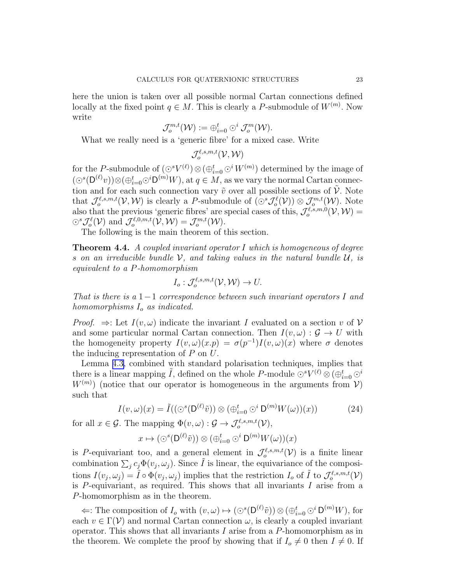<span id="page-22-0"></span>here the union is taken over all possible normal Cartan connections defined locally at the fixed point  $q \in M$ . This is clearly a P-submodule of  $W^{(m)}$ . Now write

$$
\mathcal{J}^{m,t}_{o}(\mathcal{W}):=\oplus_{i=0}^t\odot^i\mathcal{J}^m_{o}(\mathcal{W}).
$$

What we really need is a 'generic fibre' for a mixed case. Write

 $\mathcal{J}^{\ell,s,m,t}_o(\mathcal{V},\mathcal{W})$ 

for the P-submodule of  $(\odot^s V^{(\ell)}) \otimes (\oplus_{i=0}^t \odot^i W^{(m)})$  determined by the image of  $(\bigcirc^s(\mathsf{D}^{(\ell)}v))\otimes(\bigoplus_{i=0}^t\bigcirc^i\mathsf{D}^{(m)}W)$ , at  $q \in M$ , as we vary the normal Cartan connection and for each such connection vary  $\tilde{v}$  over all possible sections of  $\tilde{V}$ . Note that  $\mathcal{J}^{\ell,s,m,t}_{o}(\mathcal{V},\mathcal{W})$  is clearly a P-submodule of  $(\odot^s \mathcal{J}^{\ell}_{o}(\mathcal{V})) \otimes \mathcal{J}^{m,t}_{o}(\mathcal{W})$ . Note also that the previous 'generic fibres' are special cases of this,  $\mathcal{J}^{\ell,s,m,0}_{o}(\mathcal{V},\mathcal{W})=$  $\bigcirc^s \mathcal{J}^{\ell}_o(\mathcal{V})$  and  $\mathcal{J}^{\ell,0,m,t}_o(\mathcal{V},\mathcal{W}) = \mathcal{J}^{m,t}_o(\mathcal{W})$ .

The following is the main theorem of this section.

**Theorem 4.4.** A coupled invariant operator I which is homogeneous of degree s on an irreducible bundle  $\mathcal V$ , and taking values in the natural bundle  $\mathcal U$ , is equivalent to a P-homomorphism

$$
I_o: \mathcal{J}_o^{\ell,s,m,t}(\mathcal{V},\mathcal{W}) \to U.
$$

That is there is a  $1-1$  correspondence between such invariant operators I and homomorphisms  $I_0$  as indicated.

*Proof.*  $\Rightarrow$ : Let  $I(v, \omega)$  indicate the invariant I evaluated on a section v of V and some particular normal Cartan connection. Then  $I(v, \omega): \mathcal{G} \to U$  with the homogeneity property  $I(v,\omega)(x,p) = \sigma(p^{-1})I(v,\omega)(x)$  where  $\sigma$  denotes the inducing representation of  $P$  on  $U$ .

Lemma [4.3,](#page-19-0) combined with standard polarisation techniques, implies that there is a linear mapping  $\tilde{I}$ , defined on the whole P-module  $\odot^s V^{(\ell)} \otimes (\oplus_{i=0}^t \odot^i$  $W^{(m)}$ ) (notice that our operator is homogeneous in the arguments from  $V$ ) such that

$$
I(v,\omega)(x) = \tilde{I}((\bigcirc^s(\mathsf{D}^{(\ell)}\tilde{v})) \otimes (\bigoplus_{i=0}^t \bigcirc^i \mathsf{D}^{(m)}W(\omega))(x))
$$
(24)

for all  $x \in \mathcal{G}$ . The mapping  $\Phi(v, \omega) : \mathcal{G} \to \mathcal{J}_o^{\ell, s, m, t}(\mathcal{V}),$ 

$$
x \mapsto (\odot^s(\mathsf{D}^{(\ell)}\tilde{v})) \otimes (\oplus_{i=0}^t \odot^i \mathsf{D}^{(m)}W(\omega))(x)
$$

is P-equivariant too, and a general element in  $\mathcal{J}_o^{\ell,s,m,t}(\mathcal{V})$  is a finite linear combination  $\sum_j c_j \Phi(v_j, \omega_j)$ . Since  $\tilde{I}$  is linear, the equivariance of the compositions  $I(v_j, \omega_j) = \tilde{I} \circ \Phi(v_j, \omega_j)$  implies that the restriction  $I_o$  of  $\tilde{I}$  to  $\mathcal{J}_o^{\ell, s, m, t}(\mathcal{V})$ is  $P$ -equivariant, as required. This shows that all invariants  $I$  arise from a P-homomorphism as in the theorem.

 $\Leftarrow$ : The composition of  $I_o$  with  $(v, \omega) \mapsto (\bigcirc^s(\mathsf{D}^{(\ell)}\tilde{v})) \otimes (\bigoplus_{i=0}^t \bigcirc^i \mathsf{D}^{(m)}W)$ , for each  $v \in \Gamma(\mathcal{V})$  and normal Cartan connection  $\omega$ , is clearly a coupled invariant operator. This shows that all invariants I arise from a  $P$ -homomorphism as in the theorem. We complete the proof by showing that if  $I_o \neq 0$  then  $I \neq 0$ . If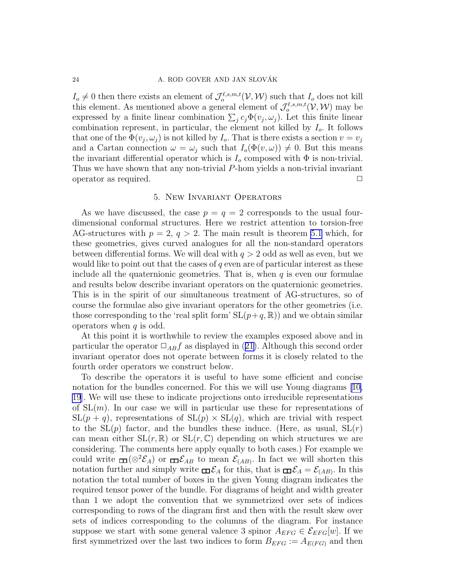<span id="page-23-0"></span> $I_o \neq 0$  then there exists an element of  $\mathcal{J}^{\ell,s,m,t}_o(\mathcal{V},\mathcal{W})$  such that  $I_o$  does not kill this element. As mentioned above a general element of  $\mathcal{J}^{\ell,s,m,t}_{o}(\mathcal{V},\mathcal{W})$  may be expressed by a finite linear combination  $\sum_j c_j \Phi(v_j, \omega_j)$ . Let this finite linear combination represent, in particular, the element not killed by  $I<sub>o</sub>$ . It follows that one of the  $\Phi(v_j, \omega_j)$  is not killed by  $I_o$ . That is there exists a section  $v = v_j$ and a Cartan connection  $\omega = \omega_i$  such that  $I_o(\Phi(v, \omega)) \neq 0$ . But this means the invariant differential operator which is  $I_0$  composed with  $\Phi$  is non-trivial. Thus we have shown that any non-trivial P-hom yields a non-trivial invariant operator as required.  $\Box$ 

### 5. New Invariant Operators

As we have discussed, the case  $p = q = 2$  corresponds to the usual fourdimensional conformal structures. Here we restrict attention to torsion-free AG-structures with  $p = 2$ ,  $q > 2$ . The main result is theorem [5.1](#page-24-0) which, for these geometries, gives curved analogues for all the non-standard operators between differential forms. We will deal with  $q > 2$  odd as well as even, but we would like to point out that the cases of  $q$  even are of particular interest as these include all the quaternionic geometries. That is, when  $q$  is even our formulae and results below describe invariant operators on the quaternionic geometries. This is in the spirit of our simultaneous treatment of AG-structures, so of course the formulae also give invariant operators for the other geometries (i.e. those corresponding to the 'real split form'  $SL(p+q, \mathbb{R})$  and we obtain similar operators when  $q$  is odd.

At this point it is worthwhile to review the examples exposed above and in particularthe operator  $\Box_{AB} f$  as displayed in ([21\)](#page-15-0). Although this second order invariant operator does not operate between forms it is closely related to the fourth order operators we construct below.

To describe the operators it is useful to have some efficient and concise notation for the bundles concerned. For this we will use Young diagrams[[10,](#page-42-0) [19](#page-42-0)]. We will use these to indicate projections onto irreducible representations of  $SL(m)$ . In our case we will in particular use these for representations of  $SL(p + q)$ , representations of  $SL(p) \times SL(q)$ , which are trivial with respect to the  $SL(p)$  factor, and the bundles these induce. (Here, as usual,  $SL(r)$ ) can mean either  $SL(r, \mathbb{R})$  or  $SL(r, \mathbb{C})$  depending on which structures we are considering. The comments here apply equally to both cases.) For example we could write  $\Box(\otimes^2 \mathcal{E}_A)$  or  $\Box \mathcal{E}_{AB}$  to mean  $\mathcal{E}_{(AB)}$ . In fact we will shorten this notation further and simply write  $\Box \mathcal{E}_A$  for this, that is  $\Box \mathcal{E}_A = \mathcal{E}_{(AB)}$ . In this notation the total number of boxes in the given Young diagram indicates the required tensor power of the bundle. For diagrams of height and width greater than 1 we adopt the convention that we symmetrized over sets of indices corresponding to rows of the diagram first and then with the result skew over sets of indices corresponding to the columns of the diagram. For instance suppose we start with some general valence 3 spinor  $A_{EFG} \in \mathcal{E}_{EFG}[w]$ . If we first symmetrized over the last two indices to form  $B_{EFG} := A_{E(FG)}$  and then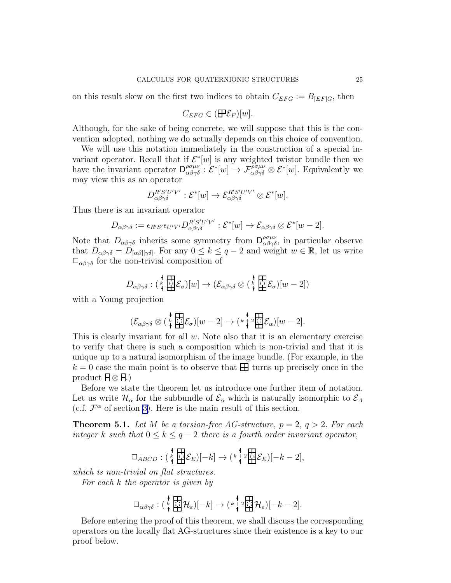<span id="page-24-0"></span>on this result skew on the first two indices to obtain  $C_{EFG} := B_{[EF]G}$ , then

$$
C_{EFG} \in (\mathbf{F}\mathcal{E}_F)[w].
$$

Although, for the sake of being concrete, we will suppose that this is the convention adopted, nothing we do actually depends on this choice of convention.

We will use this notation immediately in the construction of a special invariant operator. Recall that if  $\mathcal{E}^*[w]$  is any weighted twistor bundle then we have the invariant operator  $\mathsf{D}_{\alpha\beta\gamma\delta}^{\rho\sigma\mu\nu}$ :  $\mathcal{E}^*[w] \to \mathcal{F}_{\alpha\beta\gamma\delta}^{\rho\sigma\mu\nu} \otimes \mathcal{E}^*[w]$ . Equivalently we may view this as an operator

$$
D^{R'S'U'V'}_{\alpha\beta\gamma\delta} : \mathcal{E}^*[w] \to \mathcal{E}^{R'S'U'V'}_{\alpha\beta\gamma\delta} \otimes \mathcal{E}^*[w].
$$

Thus there is an invariant operator

$$
D_{\alpha\beta\gamma\delta} := \epsilon_{R'S'} \epsilon_{U'V'} D_{\alpha\beta\gamma\delta}^{R'S'U'V'} : \mathcal{E}^*[w] \to \mathcal{E}_{\alpha\beta\gamma\delta} \otimes \mathcal{E}^*[w-2].
$$

Note that  $D_{\alpha\beta\gamma\delta}$  inherits some symmetry from  $D_{\alpha\beta\gamma\delta}^{\rho\sigma\mu\nu}$ , in particular observe that  $D_{\alpha\beta\gamma\delta} = D_{\alpha\beta|\gamma\delta|}$ . For any  $0 \le k \le q-2$  and weight  $w \in \mathbb{R}$ , let us write  $\square_{\alpha\beta\gamma\delta}$  for the non-trivial composition of

$$
D_{\alpha\beta\gamma\delta} : (\begin{matrix} \ast \\ \ast \\ \ast \end{matrix}\n\begin{matrix} \vdots \\ \vdots \\ \vdots \end{matrix})[w] \rightarrow (\mathcal{E}_{\alpha\beta\gamma\delta} \otimes (\begin{matrix} \ast \\ \ast \\ \ast \end{matrix}\n\begin{matrix} \vdots \\ \vdots \\ \vdots \end{matrix})[w-2])
$$

with a Young projection

$$
(\mathcal{E}_{\alpha\beta\gamma\delta}\otimes(\mathop{\star}\limits^{\bullet}_{\bullet}\mathop{\mathrm{Hilb}}^{\bullet}\mathcal{E}_{\sigma})[w-2]\to(\mathop{\star}\limits^{\bullet}_{\bullet}\mathop{\star}\limits^{\bullet}\mathop{\mathrm{Hilb}}^{\bullet}\mathcal{E}_{\alpha})[w-2].
$$

This is clearly invariant for all  $w$ . Note also that it is an elementary exercise to verify that there is such a composition which is non-trivial and that it is unique up to a natural isomorphism of the image bundle. (For example, in the  $k = 0$  case the main point is to observe that  $\pm \pm 1$  turns up precisely once in the product  $\exists \otimes \exists$ .)

Before we state the theorem let us introduce one further item of notation. Let us write  $\mathcal{H}_{\alpha}$  for the subbundle of  $\mathcal{E}_{\alpha}$  which is naturally isomorphic to  $\mathcal{E}_{A}$ (c.f.  $\mathcal{F}^{\alpha}$  of section [3\)](#page-11-0). Here is the main result of this section.

**Theorem 5.1.** Let M be a torsion-free AG-structure,  $p = 2$ ,  $q > 2$ . For each integer k such that  $0 \leq k \leq q-2$  there is a fourth order invariant operator,

$$
\Box_{ABCD}: \left(\begin{smallmatrix} \color{blue}\color{black} \star \color{black} \\ \color{blue}\star \end{smallmatrix} \begin{smallmatrix} \color{blue}\star \; \star \\ \color{blue}\star \end{smallmatrix} \begin{smallmatrix} \color{blue}\star \; \star \\ \mathbf{E}\end{smallmatrix} \right) [-k] \rightarrow \left(\begin{smallmatrix} \color{blue}\star \; \color{blue}\star \; \star \\ \color{blue}\star \end{smallmatrix} \begin{smallmatrix} \color{blue}\star \; \star \\ \color{blue}\star \end{smallmatrix} \begin{smallmatrix} \boldsymbol{\Xi} \\ \mathbf{E}\end{smallmatrix} \right) [-k-2],
$$

which is non-trivial on flat structures.

For each k the operator is given by

$$
\Box_{\alpha\beta\gamma\delta} : (\begin{matrix} \ast \\ \ast \\ \ast \end{matrix}\begin{matrix} \vdots \\ \vdots \\ \ast \end{matrix}\begin{matrix} \mathcal{H}_{\varepsilon})[-k] \end{matrix} \rightarrow (\begin{matrix} \ast \\ \ast \\ \ast \end{matrix}\begin{matrix} \vdots \\ \vdots \\ \ast \end{matrix}\begin{matrix} \mathcal{H}_{\varepsilon})[-k-2].
$$

Before entering the proof of this theorem, we shall discuss the corresponding operators on the locally flat AG-structures since their existence is a key to our proof below.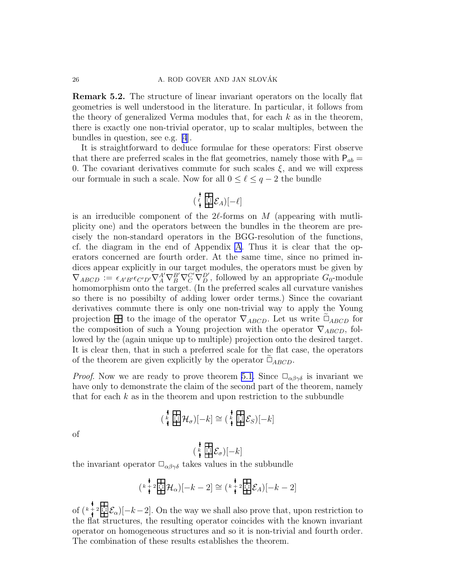Remark 5.2. The structure of linear invariant operators on the locally flat geometries is well understood in the literature. In particular, it follows from the theory of generalized Verma modules that, for each  $k$  as in the theorem, there is exactly one non-trivial operator, up to scalar multiples, between the bundles in question, see e.g. [\[4](#page-42-0)].

It is straightforward to deduce formulae for these operators: First observe that there are preferred scales in the flat geometries, namely those with  $P_{ab} =$ 0. The covariant derivatives commute for such scales  $\xi$ , and we will express our formuale in such a scale. Now for all  $0 \leq \ell \leq q-2$  the bundle

$$
\left(\begin{array}{c} \mathbf{I} \\ \mathbf{I} \\ \mathbf{I} \end{array}\right) = \mathcal{E}_A \left[\begin{array}{c} \mathbf{I} \\ \mathbf{I} \end{array}\right] = \mathcal{E}_A
$$

is an irreducible component of the  $2\ell$ -forms on M (appearing with mutliplicity one) and the operators between the bundles in the theorem are precisely the non-standard operators in the BGG-resolution of the functions, cf. the diagram in the end of Appendix [A](#page-0-0). Thus it is clear that the operators concerned are fourth order. At the same time, since no primed indices appear explicitly in our target modules, the operators must be given by  $\nabla_{ABCD} := \epsilon_{A'B'} \epsilon_{C'D'} \nabla_A^A \nabla_B^B \nabla_C^{C'} \nabla_D^{D'}$ , followed by an appropriate  $G_0$ -module homomorphism onto the target. (In the preferred scales all curvature vanishes so there is no possibilty of adding lower order terms.) Since the covariant derivatives commute there is only one non-trivial way to apply the Young projection  $\boxplus$  to the image of the operator  $\nabla_{ABCD}$ . Let us write  $\tilde{\Box}_{ABCD}$  for the composition of such a Young projection with the operator  $\nabla_{ABCD}$ , followed by the (again unique up to multiple) projection onto the desired target. It is clear then, that in such a preferred scale for the flat case, the operators of the theorem are given explicitly by the operator  $\tilde{\Box}_{ABCD}$ .

*Proof.* Now we are ready to prove theorem [5.1.](#page-24-0) Since  $\Box_{\alpha\beta\gamma\delta}$  is invariant we have only to demonstrate the claim of the second part of the theorem, namely that for each  $k$  as in the theorem and upon restriction to the subbundle

$$
\left(\begin{array}{c}\n\stackrel{\bullet}{\leftarrow} & \begin{array}{|c|}\n\end{array}\n\end{array}\right|\begin{array}{c}\n\stackrel{\bullet}{\leftarrow} & \begin{array}{|c|}\n\end{array}\n\end{array}\right|\begin{array}{c}\n-\frac{\bullet}{\leftarrow} & \begin{array}{|c|}\n\end{array}\right|\n\end{array}\right) = k
$$

of

$$
\left(\begin{array}{c} \star \\ \star \\ \star \end{array}\right) = \mathcal{E}_{\sigma}\left[-k\right]
$$

the invariant operator  $\Box_{\alpha\beta\gamma\delta}$  takes values in the subbundle

$$
\left(\begin{smallmatrix}k&1\\&1\end{smallmatrix}\right) \mathcal{H}_{\alpha}\left[-k-2\right] \cong \left(\begin{smallmatrix}k&1\\&1\end{smallmatrix}\right) \mathcal{H}_{A}\left[-k-2\right]
$$

of  $\left(k + 2\right)$   $\left[\frac{1}{k+2}, \frac{1}{k+1}\right]$   $\mathcal{E}_{\alpha}$  = 0. On the way we shall also prove that, upon restriction to the flat structures, the resulting operator coincides with the known invariant operator on homogeneous structures and so it is non-trivial and fourth order. The combination of these results establishes the theorem.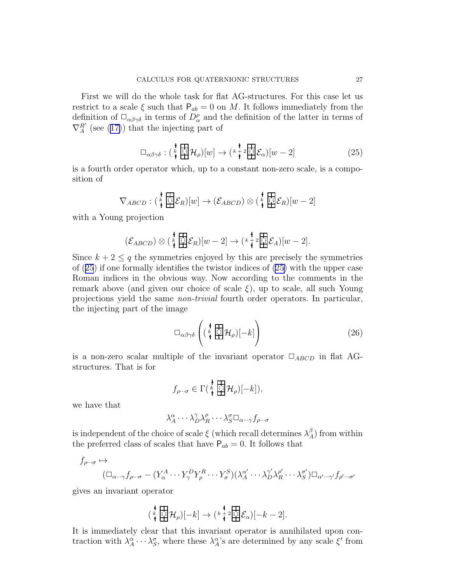<span id="page-26-0"></span>First we will do the whole task for flat AG-structures. For this case let us restrict to a scale  $\xi$  such that  $P_{ab} = 0$  on M. It follows immediately from the definition of  $\Box_{\alpha\beta\gamma\delta}$  in terms of  $D^{\rho}_{\alpha}$  and the definition of the latter in terms of  $\nabla_A^{R'}$ (see ([17\)](#page-13-0)) that the injecting part of

$$
\Box_{\alpha\beta\gamma\delta} : \left(\begin{array}{c} \star \\ \star \\ \star \end{array} \right] \mathcal{H}_{\rho}\left[\left|w\right] \right] \to \left(\begin{array}{c} \star \\ \star \\ \star \end{array} \right] \mathcal{E}_{\alpha}\left[\left|w-2\right] \right] \tag{25}
$$

is a fourth order operator which, up to a constant non-zero scale, is a composition of

$$
\nabla_{ABCD} : (\stackrel{k}{\ast} \boxplus \stackrel{k}{\leftrightarrow} \mathcal{E}_R)[w] \to (\mathcal{E}_{ABCD}) \otimes (\stackrel{k}{\ast} \boxplus \stackrel{k}{\leftrightarrow} \mathcal{E}_R)[w-2]
$$

with a Young projection

$$
(\mathcal{E}_{ABCD}) \otimes (\mathop{\star}\limits^{\mathop{\bigstar}\limits^{\mathop{\bigstar}\limits^{\mathop{\bigstar}\limits^{\mathop{\bigstar}\limits^{}}}}_{\mathop{\bigstar}\limits^{\mathop{\bigstar}\limits^{\mathop{\bigstar}\limits^{}}}} \mathop{\mathcal{E}}_R)[w-2] \to (\mathop{\star}\limits^{\mathop{\bigstar}\limits^{\mathop{\bigstar}\limits^{\mathop{\bigstar}\limits^{\mathop{\bigstar}\limits^{}}}}_{\mathop{\bigstar}\limits^{\mathop{\bigstar}\limits^{\mathop{\bigstar}\limits^{}}}} \mathop{\mathcal{E}}_A)[w-2].
$$

Since  $k + 2 \leq q$  the symmetries enjoyed by this are precisely the symmetries of (25) if one formally identifies the twistor indices of (25) with the upper case Roman indices in the obvious way. Now according to the comments in the remark above (and given our choice of scale  $\xi$ ), up to scale, all such Young projections yield the same non-trivial fourth order operators. In particular, the injecting part of the image

$$
\Box_{\alpha\beta\gamma\delta}\left((\begin{array}{c} \mathbf{t} \\ \mathbf{t} \\ \mathbf{t} \end{array})[ -k] \right) \tag{26}
$$

is a non-zero scalar multiple of the invariant operator  $\Box_{ABCD}$  in flat AGstructures. That is for

$$
f_{\rho\cdots\sigma}\in\Gamma(\mathop{\star}\limits^{\scriptstyle\bullet}\mathop{\overleftarrow{\mathrm{Hil}}}\limits^{\scriptstyle\bullet}\mathcal{H}_{\rho})[-k]),
$$

we have that

$$
\lambda_A^{\alpha} \cdots \lambda_D^{\gamma} \lambda_R^{\rho} \cdots \lambda_S^{\sigma} \Box_{\alpha \cdots \gamma} f_{\rho \cdots \sigma}
$$

is independent of the choice of scale  $\xi$  (which recall determines  $\lambda_A^{\beta}$ ) from within the preferred class of scales that have  $P_{ab} = 0$ . It follows that

$$
f_{\rho\cdots\sigma} \mapsto
$$
  

$$
(\Box_{\alpha\cdots\gamma}f_{\rho\cdots\sigma} - (Y_{\alpha}^A \cdots Y_{\gamma}^DY_{\rho}^R \cdots Y_{\sigma}^S)(\lambda_{A}^{\alpha'} \cdots \lambda_{D}^{\gamma'}\lambda_{R}^{\rho'} \cdots \lambda_{S}^{\sigma'})\Box_{\alpha'\cdots\gamma'}f_{\rho'\cdots\sigma'}
$$

gives an invariant operator

$$
\left(\begin{array}{c}\mathbf{1}\\\mathbf{1}\end{array}\right|\mathcal{H}_{\rho})[-k]\to\left(\begin{array}{c}\mathbf{1}\\\mathbf{1}\end{array}\right|\mathcal{E}_{\alpha}\right)[-k-2].
$$

It is immediately clear that this invariant operator is annihilated upon contraction with  $\lambda_A^{\alpha} \cdots \lambda_S^{\sigma}$ , where these  $\lambda_A^{\alpha}$ 's are determined by any scale  $\xi'$  from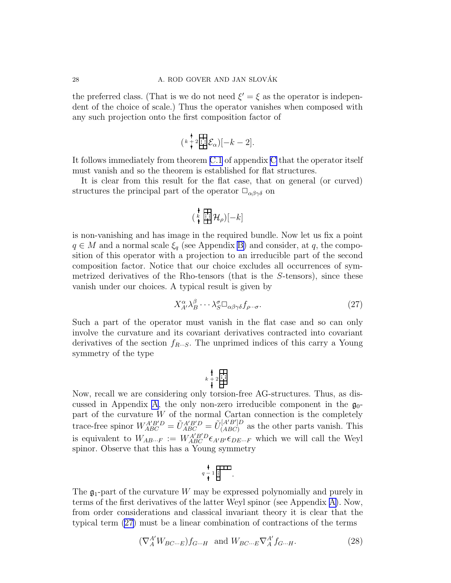<span id="page-27-0"></span>the preferred class. (That is we do not need  $\xi' = \xi$  as the operator is independent of the choice of scale.) Thus the operator vanishes when composed with any such projection onto the first composition factor of

$$
\left(\begin{smallmatrix} k+2\\ k+2 \end{smallmatrix}\underset{\blacksquare}{\overset{\blacksquare}{\mathbf{H}}}\mathcal{E}_{\alpha}\right)[-k-2].
$$

It follows immediately from theorem [C.1](#page-39-0) of appendix [C](#page-11-0) that the operator itself must vanish and so the theorem is established for flat structures.

It is clear from this result for the flat case, that on general (or curved) structures the principal part of the operator  $\Box_{\alpha\beta\gamma\delta}$  on

$$
(\begin{smallmatrix} \color{blue}\ast \\ \color{blue}\ast \\ \color{blue}\star \end{smallmatrix} \mathop{\overrightarrow{H}} \mathcal{H}_{\rho})[-k]
$$

is non-vanishing and has image in the required bundle. Now let us fix a point  $q \in M$  and a normal scale  $\xi_q$  (see Appendix [B\)](#page-4-0) and consider, at q, the composition of this operator with a projection to an irreducible part of the second composition factor. Notice that our choice excludes all occurrences of symmetrized derivatives of the Rho-tensors (that is the S-tensors), since these vanish under our choices. A typical result is given by

$$
X^{\alpha}_{A'} \lambda^{\beta}_{B} \cdots \lambda^{\sigma}_{S} \Box_{\alpha \beta \gamma \delta} f_{\rho \cdots \sigma}.
$$
 (27)

Such a part of the operator must vanish in the flat case and so can only involve the curvature and its covariant derivatives contracted into covariant derivatives of the section  $f_{R\cdots S}$ . The unprimed indices of this carry a Young symmetry of the type

$$
k+2
$$

Now, recall we are considering only torsion-free AG-structures. Thus, as dis-cussed in [A](#page-0-0)ppendix A, the only non-zero irreducible component in the  $\mathfrak{g}_0$ part of the curvature W of the normal Cartan connection is the completely trace-free spinor  $W_{ABC}^{A'B'D} = \tilde{U}_{ABC}^{A'B'D} = \tilde{U}_{(ABC)}^{[A'B']D}$  $(ABC)$  as the other parts vanish. This is equivalent to  $W_{AB\cdots F} := W_{ABC}^{A'B'D} \epsilon_{A'B'} \epsilon_{DE\cdots F}$  which we will call the Weyl spinor. Observe that this has a Young symmetry

$$
q-1 \overline{\mathbf{H}^{\mathbf{H} \mathbf{B}}}
$$

The  $\mathfrak{g}_1$ -part of the curvature W may be expressed polynomially and purely in terms of the first derivatives of the latter Weyl spinor (see Appendix [A\)](#page-0-0). Now, from order considerations and classical invariant theory it is clear that the typical term (27) must be a linear combination of contractions of the terms

$$
(\nabla_A^{A'} W_{BC\cdots E}) f_{G\cdots H} \text{ and } W_{BC\cdots E} \nabla_A^{A'} f_{G\cdots H}.
$$
 (28)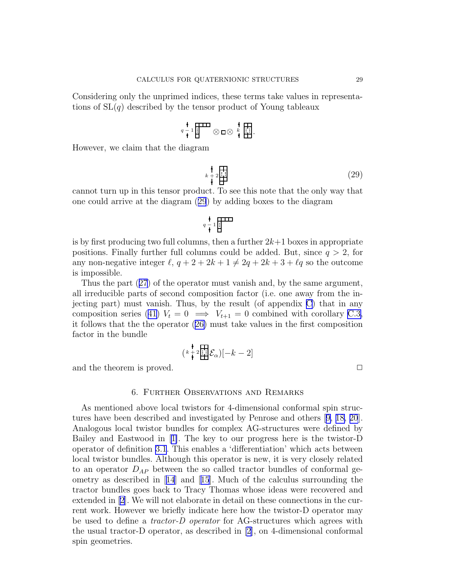<span id="page-28-0"></span>Considering only the unprimed indices, these terms take values in representations of  $SL(q)$  described by the tensor product of Young tableaux

$$
q \begin{array}{c} \mathbf{A} \\ \mathbf{B} \\ \mathbf{C} \end{array}
$$

However, we claim that the diagram

$$
k + 2 \frac{\text{[}}{\text{[}}\text{]}}{\text{[}}\tag{29}
$$

cannot turn up in this tensor product. To see this note that the only way that one could arrive at the diagram (29) by adding boxes to the diagram

 $q - 1$ 

is by first producing two full columns, then a further 
$$
2k+1
$$
 boxes in appropriate  
positions. Finally further full columns could be added. But, since  $q > 2$ , for  
any non-negative integer  $\ell$ ,  $q + 2 + 2k + 1 \neq 2q + 2k + 3 + \ell q$  so the outcome  
is impossible.

Thus the part([27](#page-27-0)) of the operator must vanish and, by the same argument, all irreducible parts of second composition factor (i.e. one away from the injecting part) must vanish. Thus, by the result (of appendix [C\)](#page-11-0) that in any compositionseries ([41\)](#page-39-0)  $V_t = 0 \implies V_{t+1} = 0$  combined with corollary [C.3,](#page-40-0) it follows that the the operator([26\)](#page-26-0) must take values in the first composition factor in the bundle

$$
\left(\begin{smallmatrix}k+2\\k+2\end{smallmatrix}\bigg|\begin{smallmatrix}\prod\limits_{i=1}^k \\ \prod\limits_{i=1}^k \end{smallmatrix}\right|\mathcal{E}_{\alpha}\right)\left[-k-2\right]
$$

and the theorem is proved.  $\Box$ 

### 6. Further Observations and Remarks

As mentioned above local twistors for 4-dimensional conformal spin structures have been described and investigated by Penrose and others[[9, 18, 20](#page-42-0)]. Analogous local twistor bundles for complex AG-structures were defined by Bailey and Eastwood in[[1\]](#page-42-0). The key to our progress here is the twistor-D operator of definition [3.1](#page-12-0). This enables a 'differentiation' which acts between local twistor bundles. Although this operator is new, it is very closely related to an operator  $D_{AP}$  between the so called tractor bundles of conformal geometryas described in  $|14|$  $|14|$  $|14|$  and  $|15|$  $|15|$  $|15|$ . Much of the calculus surrounding the tractor bundles goes back to Tracy Thomas whose ideas were recovered and extended in [\[2](#page-42-0)]. We will not elaborate in detail on these connections in the current work. However we briefly indicate here how the twistor-D operator may be used to define a tractor-D operator for AG-structures which agrees with the usual tractor-D operator, as described in [\[2](#page-42-0)], on 4-dimensional conformal spin geometries.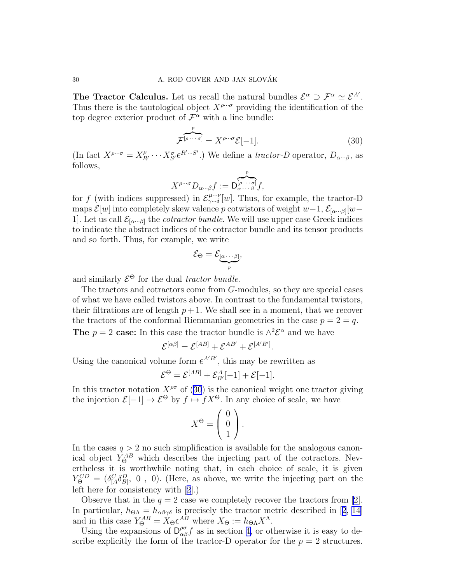The Tractor Calculus. Let us recall the natural bundles  $\mathcal{E}^{\alpha} \supset \mathcal{F}^{\alpha} \simeq \mathcal{E}^{A'}$ . Thus there is the tautological object  $X^{\rho \cdots \sigma}$  providing the identification of the top degree exterior product of  $\mathcal{F}^{\alpha}$  with a line bundle:

$$
\mathcal{F}^{[\rho \cdots \sigma]} = X^{\rho \cdots \sigma} \mathcal{E}[-1]. \tag{30}
$$

(In fact  $X^{\rho\cdots\sigma} = X_{R'}^{\rho} \cdots X_{S'}^{\sigma} \epsilon^{R'\cdots S'}$ .) We define a *tractor-D* operator,  $D_{\alpha\cdots\beta}$ , as follows,

$$
X^{\rho\cdots\sigma}D_{\alpha\cdots\beta}f:=\overbrace{D_{\alpha\cdots\beta}^{[\rho\cdots\sigma]}}^{p}f,
$$

for f (with indices suppressed) in  $\mathcal{E}_{\gamma \dots \delta}^{\mu \dots \nu}$  $\gamma^{\mu\cdots\nu}_{\cdots\delta}[w]$ . Thus, for example, the tractor-D maps  $\mathcal{E}[w]$  into completely skew valence p cotwistors of weight  $w-1$ ,  $\mathcal{E}_{[\alpha\cdots\beta]}[w-1]$ 1. Let us call  $\mathcal{E}_{[\alpha...\beta]}$  the *cotractor bundle*. We will use upper case Greek indices to indicate the abstract indices of the cotractor bundle and its tensor products and so forth. Thus, for example, we write

$$
\mathcal{E}_{\Theta} = \mathcal{E}_{\underbrace{[\alpha \cdots \beta]}_{p}},
$$

and similarly  $\mathcal{E}^{\Theta}$  for the dual tractor bundle.

The tractors and cotractors come from G-modules, so they are special cases of what we have called twistors above. In contrast to the fundamental twistors, their filtrations are of length  $p+1$ . We shall see in a moment, that we recover the tractors of the conformal Riemmanian geometries in the case  $p = 2 = q$ . **The**  $p = 2$  case: In this case the tractor bundle is  $\wedge^2 \mathcal{E}^{\alpha}$  and we have

$$
\mathcal{E}^{[\alpha\beta]} = \mathcal{E}^{[AB]} + \mathcal{E}^{AB'} + \mathcal{E}^{[A'B']}.
$$

Using the canonical volume form  $\epsilon^{A'B'}$ , this may be rewritten as

$$
\mathcal{E}^{\Theta} = \mathcal{E}^{[AB]} + \mathcal{E}_{B'}^{A}[-1] + \mathcal{E}[-1].
$$

In this tractor notation  $X^{\rho\sigma}$  of (30) is the canonical weight one tractor giving the injection  $\mathcal{E}[-1] \to \mathcal{E}^{\Theta}$  by  $f \mapsto fX^{\Theta}$ . In any choice of scale, we have

$$
X^{\Theta} = \left(\begin{array}{c} 0 \\ 0 \\ 1 \end{array}\right).
$$

In the cases  $q > 2$  no such simplification is available for the analogous canonical object  $Y_{\Theta}^{AB}$  which describes the injecting part of the cotractors. Nevertheless it is worthwhile noting that, in each choice of scale, it is given  $Y_{\Theta}^{CD} = (\delta_{[A}^{C} \delta_{B]}^{D}, 0, 0)$ . (Here, as above, we write the injecting part on the left here for consistency with[[2](#page-42-0)].)

Observe that in the  $q = 2$  case we completely recover the tractors from [\[2](#page-42-0)]. Inparticular,  $h_{\Theta\Lambda} = h_{\alpha\beta\gamma\delta}$  is precisely the tractor metric described in [[2](#page-42-0), [14\]](#page-42-0) and in this case  $Y_{\Theta}^{AB} = X_{\Theta} \epsilon^{AB}$  where  $X_{\Theta} := h_{\Theta} X^{\Lambda}$ .

Using the expansions of  $D_{\alpha\beta}^{\rho\sigma} f$  as in section [4,](#page-13-0) or otherwise it is easy to describe explicitly the form of the tractor-D operator for the  $p = 2$  structures.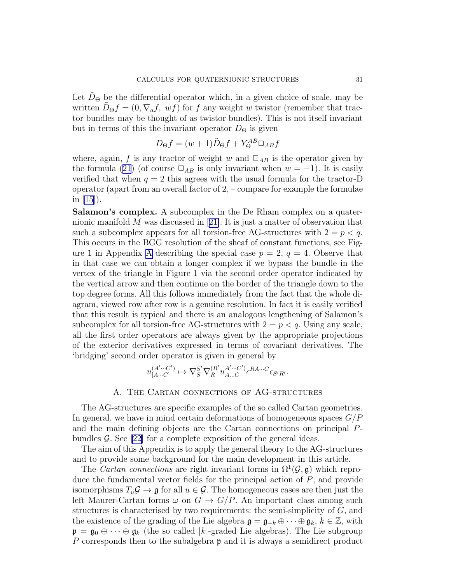Let  $D_{\Theta}$  be the differential operator which, in a given choice of scale, may be written  $\ddot{D}_{\Theta}f = (0, \nabla_a f, \nabla_a f)$  for f any weight w twistor (remember that tractor bundles may be thought of as twistor bundles). This is not itself invariant but in terms of this the invariant operator  $D_{\Theta}$  is given

$$
D_{\Theta}f = (w+1)\tilde{D}_{\Theta}f + Y_{\Theta}^{AB}\Box_{AB}f
$$

where, again, f is any tractor of weight w and  $\Box_{AB}$  is the operator given by theformula ([21](#page-15-0)) (of course  $\Box_{AB}$  is only invariant when  $w = -1$ ). It is easily verified that when  $q = 2$  this agrees with the usual formula for the tractor-D operator (apart from an overall factor of  $2, -$  compare for example the formulae in [\[15\]](#page-42-0)).

Salamon's complex. A subcomplex in the De Rham complex on a quaternionic manifold M was discussed in[[21\]](#page-42-0). It is just a matter of observation that such a subcomplex appears for all torsion-free AG-structures with  $2 = p < q$ . This occurs in the BGG resolution of the sheaf of constant functions, see Fig-ure 1 in [A](#page-0-0)ppendix A describing the special case  $p = 2$ ,  $q = 4$ . Observe that in that case we can obtain a longer complex if we bypass the bundle in the vertex of the triangle in Figure 1 via the second order operator indicated by the vertical arrow and then continue on the border of the triangle down to the top degree forms. All this follows immediately from the fact that the whole diagram, viewed row after row is a genuine resolution. In fact it is easily verified that this result is typical and there is an analogous lengthening of Salamon's subcomplex for all torsion-free AG-structures with  $2 = p < q$ . Using any scale, all the first order operators are always given by the appropriate projections of the exterior derivatives expressed in terms of covariant derivatives. The 'bridging' second order operator is given in general by

$$
u_{[A\cdots C]}^{(A'\cdots C')}\mapsto \nabla_S^{S'}\nabla_R^{(R'}u_{A\cdots C'}^{A'\cdots C')}\epsilon^{RA\cdots C}\epsilon_{S'R'}.
$$

## A. The Cartan connections of AG-structures

The AG-structures are specific examples of the so called Cartan geometries. In general, we have in mind certain deformations of homogeneous spaces  $G/P$ and the main defining objects are the Cartan connections on principal Pbundles  $\mathcal{G}$ . See [\[22](#page-42-0)] for a complete exposition of the general ideas.

The aim of this Appendix is to apply the general theory to the AG-structures and to provide some background for the main development in this article.

The *Cartan connections* are right invariant forms in  $\Omega^1(\mathcal{G}, \mathfrak{g})$  which reproduce the fundamental vector fields for the principal action of P, and provide isomorphisms  $T_u\mathcal{G} \to \mathfrak{g}$  for all  $u \in \mathcal{G}$ . The homogeneous cases are then just the left Maurer-Cartan forms  $\omega$  on  $G \to G/P$ . An important class among such structures is characterised by two requirements: the semi-simplicity of  $G$ , and the existence of the grading of the Lie algebra  $\mathfrak{g} = \mathfrak{g}_{-k} \oplus \cdots \oplus \mathfrak{g}_k, k \in \mathbb{Z}$ , with  $\mathfrak{p} = \mathfrak{g}_0 \oplus \cdots \oplus \mathfrak{g}_k$  (the so called |k|-graded Lie algebras). The Lie subgroup P corresponds then to the subalgebra  $\mathfrak p$  and it is always a semidirect product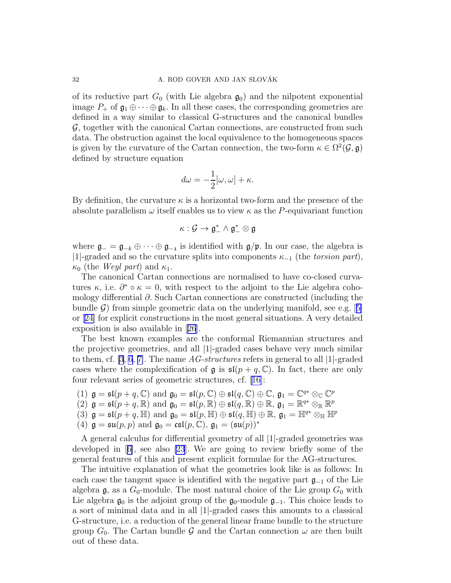of its reductive part  $G_0$  (with Lie algebra  $\mathfrak{g}_0$ ) and the nilpotent exponential image  $P_+$  of  $\mathfrak{g}_1 \oplus \cdots \oplus \mathfrak{g}_k$ . In all these cases, the corresponding geometries are defined in a way similar to classical G-structures and the canonical bundles G, together with the canonical Cartan connections, are constructed from such data. The obstruction against the local equivalence to the homogeneous spaces is given by the curvature of the Cartan connection, the two-form  $\kappa \in \Omega^2(\mathcal{G}, \mathfrak{g})$ defined by structure equation

$$
d\omega = -\frac{1}{2}[\omega, \omega] + \kappa.
$$

By definition, the curvature  $\kappa$  is a horizontal two-form and the presence of the absolute parallelism  $\omega$  itself enables us to view  $\kappa$  as the P-equivariant function

$$
\kappa:\mathcal{G}\to\mathfrak{g}_-^*\wedge\mathfrak{g}_-^*\otimes\mathfrak{g}
$$

where  $\mathfrak{g}_{-} = \mathfrak{g}_{-k} \oplus \cdots \oplus \mathfrak{g}_{-1}$  is identified with  $\mathfrak{g}/\mathfrak{p}$ . In our case, the algebra is |1|-graded and so the curvature splits into components  $\kappa_{-1}$  (the *torsion part*),  $\kappa_0$  (the *Weyl part*) and  $\kappa_1$ .

The canonical Cartan connections are normalised to have co-closed curvatures  $\kappa$ , i.e.  $\partial^* \circ \kappa = 0$ , with respect to the adjoint to the Lie algebra cohomology differential ∂. Such Cartan connections are constructed (including the bundle $\mathcal{G}$ ) from simple geometric data on the underlying manifold, see e.g. [[5\]](#page-42-0) or[[24\]](#page-42-0) for explicit constructions in the most general situations. A very detailed exposition is also available in[[26](#page-43-0)].

The best known examples are the conformal Riemannian structures and the projective geometries, and all |1|-graded cases behave very much similar to them, cf. [\[3](#page-42-0), [6](#page-42-0), [7\]](#page-42-0). The name  $AG-structures$  refers in general to all [1]-graded cases where the complexification of  $\mathfrak g$  is  $\mathfrak{sl}(p+q,\mathbb{C})$ . In fact, there are only four relevant series of geometric structures, cf. [\[16\]](#page-42-0):

- (1)  $\mathfrak{g} = \mathfrak{sl}(p+q,\mathbb{C})$  and  $\mathfrak{g}_0 = \mathfrak{sl}(p,\mathbb{C}) \oplus \mathfrak{sl}(q,\mathbb{C}) \oplus \mathbb{C}$ ,  $\mathfrak{g}_1 = \mathbb{C}^{q*} \otimes_{\mathbb{C}} \mathbb{C}^p$
- (2)  $\mathfrak{g} = \mathfrak{sl}(p+q,\mathbb{R})$  and  $\mathfrak{g}_0 = \mathfrak{sl}(p,\mathbb{R}) \oplus \mathfrak{sl}(q,\mathbb{R}) \oplus \mathbb{R}, \mathfrak{g}_1 = \mathbb{R}^{q*} \otimes_{\mathbb{R}} \mathbb{R}^p$
- (3)  $\mathfrak{g} = \mathfrak{sl}(p+q, \mathbb{H})$  and  $\mathfrak{g}_0 = \mathfrak{sl}(p, \mathbb{H}) \oplus \mathfrak{sl}(q, \mathbb{H}) \oplus \mathbb{R}, \mathfrak{g}_1 = \mathbb{H}^{q*} \otimes_{\mathbb{H}} \mathbb{H}^p$
- (4)  $\mathfrak{g} = \mathfrak{su}(p, p)$  and  $\mathfrak{g}_0 = \mathfrak{csl}(p, \mathbb{C}), \mathfrak{g}_1 = (\mathfrak{su}(p))^*$

A general calculus for differential geometry of all |1|-graded geometries was developed in[[6\]](#page-42-0), see also [\[23](#page-42-0)]. We are going to review briefly some of the general features of this and present explicit formulae for the AG-structures.

The intuitive explanation of what the geometries look like is as follows: In each case the tangent space is identified with the negative part  $\mathfrak{g}_{-1}$  of the Lie algebra g, as a  $G_0$ -module. The most natural choice of the Lie group  $G_0$  with Lie algebra  $\mathfrak{g}_0$  is the adjoint group of the  $\mathfrak{g}_0$ -module  $\mathfrak{g}_{-1}$ . This choice leads to a sort of minimal data and in all |1|-graded cases this amounts to a classical G-structure, i.e. a reduction of the general linear frame bundle to the structure group  $G_0$ . The Cartan bundle G and the Cartan connection  $\omega$  are then built out of these data.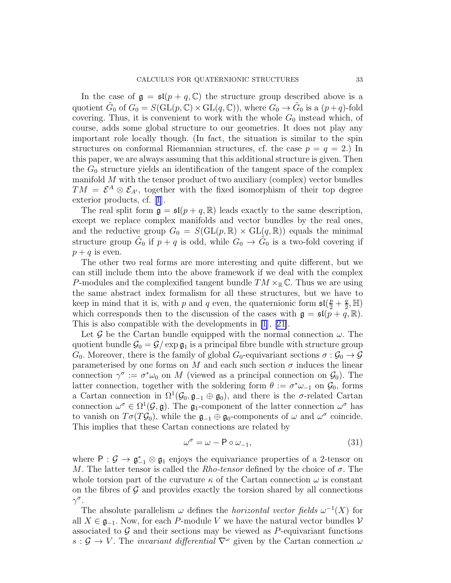In the case of  $\mathfrak{g} = \mathfrak{sl}(p + q, \mathbb{C})$  the structure group described above is a quotient  $\tilde{G}_0$  of  $G_0 = S(\mathrm{GL}(p,\mathbb{C}) \times \mathrm{GL}(q,\mathbb{C}))$ , where  $G_0 \to \tilde{G}_0$  is a  $(p+q)$ -fold covering. Thus, it is convenient to work with the whole  $G_0$  instead which, of course, adds some global structure to our geometries. It does not play any important role locally though. (In fact, the situation is similar to the spin structures on conformal Riemannian structures, cf. the case  $p = q = 2$ . In this paper, we are always assuming that this additional structure is given. Then the  $G_0$  structure yields an identification of the tangent space of the complex manifold  $M$  with the tensor product of two auxiliary (complex) vector bundles  $TM = \mathcal{E}^A \otimes \mathcal{E}_{A'}$ , together with the fixed isomorphism of their top degree exterior products, cf.[[1](#page-42-0)].

The real split form  $\mathfrak{g} = \mathfrak{sl}(p + q, \mathbb{R})$  leads exactly to the same description, except we replace complex manifolds and vector bundles by the real ones, and the reductive group  $G_0 = S(\mathrm{GL}(p,\mathbb{R}) \times \mathrm{GL}(q,\mathbb{R}))$  equals the minimal structure group  $\tilde{G}_0$  if  $p + q$  is odd, while  $G_0 \rightarrow \tilde{G}_0$  is a two-fold covering if  $p + q$  is even.

The other two real forms are more interesting and quite different, but we can still include them into the above framework if we deal with the complex P-modules and the complexified tangent bundle  $TM \times_{\mathbb{R}} \mathbb{C}$ . Thus we are using the same abstract index formalism for all these structures, but we have to keep in mind that it is, with p and q even, the quaternionic form  $\mathfrak{sl}(\frac{p}{2} + \frac{q}{2})$  $\frac{q}{2}, \mathbb{H}$ which corresponds then to the discussion of the cases with  $\mathfrak{g} = \mathfrak{sl}(p+q,\mathbb{R})$ . This is also compatible with the developments in [\[1](#page-42-0)],[[21\]](#page-42-0).

Let G be the Cartan bundle equipped with the normal connection  $\omega$ . The quotient bundle  $\mathcal{G}_0 = \mathcal{G}/\exp \mathfrak{g}_1$  is a principal fibre bundle with structure group  $G_0$ . Moreover, there is the family of global  $G_0$ -equivariant sections  $\sigma : \mathcal{G}_0 \to \mathcal{G}$ parameterised by one forms on M and each such section  $\sigma$  induces the linear connection  $\gamma^{\sigma} := \sigma^* \omega_0$  on M (viewed as a principal connection on  $\mathcal{G}_0$ ). The latter connection, together with the soldering form  $\theta := \sigma^* \omega_{-1}$  on  $\mathcal{G}_0$ , forms a Cartan connection in  $\Omega^1(\mathcal{G}_0, \mathfrak{g}_{-1} \oplus \mathfrak{g}_0)$ , and there is the  $\sigma$ -related Cartan connection  $\omega^{\sigma} \in \Omega^1(\mathcal{G}, \mathfrak{g})$ . The  $\mathfrak{g}_1$ -component of the latter connection  $\omega^{\sigma}$  has to vanish on  $T\sigma(T\mathcal{G}_0)$ , while the  $\mathfrak{g}_{-1}\oplus\mathfrak{g}_0$ -components of  $\omega$  and  $\omega^{\sigma}$  coincide. This implies that these Cartan connections are related by

$$
\omega^{\sigma} = \omega - P \circ \omega_{-1},\tag{31}
$$

where  $P: \mathcal{G} \to \mathfrak{g}_{-1}^* \otimes \mathfrak{g}_1$  enjoys the equivariance properties of a 2-tensor on M. The latter tensor is called the Rho-tensor defined by the choice of  $\sigma$ . The whole torsion part of the curvature  $\kappa$  of the Cartan connection  $\omega$  is constant on the fibres of  $\mathcal G$  and provides exactly the torsion shared by all connections  $\gamma^{\sigma}$ .

The absolute parallelism  $\omega$  defines the *horizontal vector fields*  $\omega^{-1}(X)$  for all  $X \in \mathfrak{g}_{-1}$ . Now, for each P-module V we have the natural vector bundles V associated to  $G$  and their sections may be viewed as P-equivariant functions  $s : \mathcal{G} \to V$ . The *invariant differential*  $\nabla^{\omega}$  given by the Cartan connection  $\omega$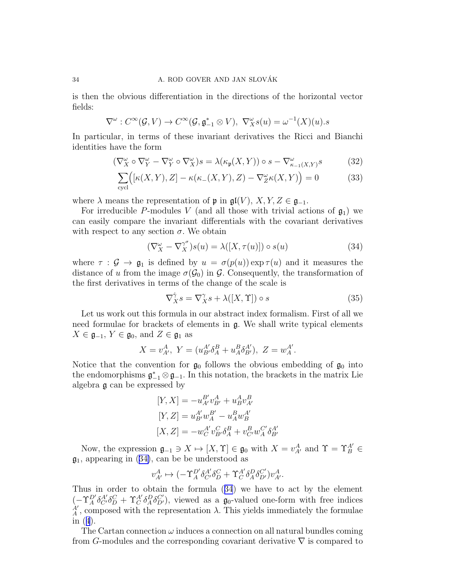is then the obvious differentiation in the directions of the horizontal vector fields:

$$
\nabla^{\omega}: C^{\infty}(\mathcal{G}, V) \to C^{\infty}(\mathcal{G}, \mathfrak{g}_{-1}^* \otimes V), \ \nabla_X^{\omega} s(u) = \omega^{-1}(X)(u).s
$$

In particular, in terms of these invariant derivatives the Ricci and Bianchi identities have the form

$$
(\nabla_X^{\omega} \circ \nabla_Y^{\omega} - \nabla_Y^{\omega} \circ \nabla_X^{\omega})s = \lambda(\kappa_{\mathfrak{p}}(X, Y)) \circ s - \nabla_{\kappa_{-1}(X, Y)}^{\omega}s \tag{32}
$$

$$
\sum_{\text{cycl}} \Big( [\kappa(X, Y), Z] - \kappa(\kappa_-(X, Y), Z) - \nabla_Z^{\omega} \kappa(X, Y) \Big) = 0 \tag{33}
$$

where  $\lambda$  means the representation of p in  $\mathfrak{gl}(V)$ ,  $X, Y, Z \in \mathfrak{g}_{-1}$ .

For irreducible P-modules V (and all those with trivial actions of  $\mathfrak{g}_1$ ) we can easily compare the invariant differentials with the covariant derivatives with respect to any section  $\sigma$ . We obtain

$$
(\nabla_X^{\omega} - \nabla_X^{\gamma^{\sigma}})s(u) = \lambda([X, \tau(u)]) \circ s(u)
$$
\n(34)

where  $\tau : \mathcal{G} \to \mathfrak{g}_1$  is defined by  $u = \sigma(p(u)) \exp \tau(u)$  and it measures the distance of u from the image  $\sigma(\mathcal{G}_0)$  in  $\mathcal{G}$ . Consequently, the transformation of the first derivatives in terms of the change of the scale is

$$
\nabla_X^{\hat{\gamma}} s = \nabla_X^{\gamma} s + \lambda([X, \Upsilon]) \circ s \tag{35}
$$

Let us work out this formula in our abstract index formalism. First of all we need formulae for brackets of elements in g. We shall write typical elements  $X \in \mathfrak{g}_{-1}, Y \in \mathfrak{g}_0$ , and  $Z \in \mathfrak{g}_1$  as

$$
X = v_{A'}^{A}, \ Y = (u_{B'}^{A'} \delta_A^B + u_A^B \delta_{B'}^{A'}), \ Z = w_A^{A'}.
$$

Notice that the convention for  $\mathfrak{g}_0$  follows the obvious embedding of  $\mathfrak{g}_0$  into the endomorphisms  $\mathfrak{g}_{-1}^* \otimes \mathfrak{g}_{-1}$ . In this notation, the brackets in the matrix Lie algebra g can be expressed by

$$
[Y, X] = -u_{A'}^{B'} v_{B'}^{A} + u_{B}^{A} v_{A'}^{B}
$$
  
\n
$$
[Y, Z] = u_{B'}^{A'} w_{A}^{B'} - u_{A}^{B} w_{B}^{A'}
$$
  
\n
$$
[X, Z] = -w_{C}^{A'} v_{B'}^{C} \delta_{A}^{B} + v_{C'}^{B} w_{A}^{C'} \delta_{B'}^{A'}
$$

Now, the expression  $\mathfrak{g}_{-1} \ni X \mapsto [X, \Upsilon] \in \mathfrak{g}_0$  with  $X = v^A_{A'}$  and  $\Upsilon = \Upsilon_B^{A'} \in$  $\mathfrak{g}_1$ , appearing in (34), can be be understood as

$$
v^A_{A'} \mapsto (-\Upsilon^{D'}_A \delta^{A'}_{C'} \delta^C_D + \Upsilon^{A'}_C \delta^D_A \delta^{C'}_{D'}) v^A_{A'}.
$$

Thus in order to obtain the formula (34) we have to act by the element  $(-\Upsilon_A^{D'}\delta_{C'}^{A'}\delta_D^C + \Upsilon_C^{A'}\delta_A^D\delta_{D'}^{C'})$ , viewed as a  $\mathfrak{g}_0$ -valued one-form with free indices  $A'$ , composed with the representation  $\lambda$ . This yields immediately the formulae in([4](#page-7-0)).

The Cartan connection  $\omega$  induces a connection on all natural bundles coming from G-modules and the corresponding covariant derivative  $\nabla$  is compared to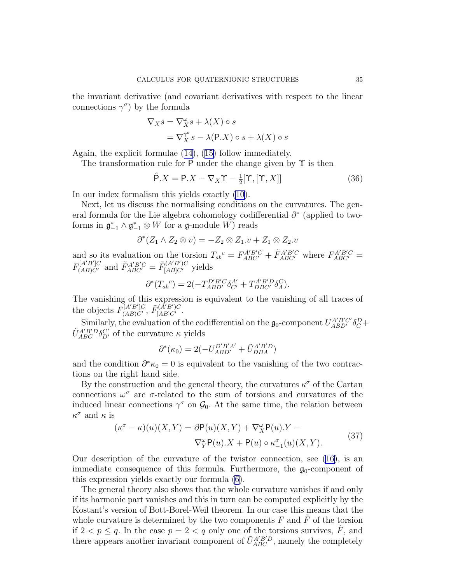<span id="page-34-0"></span>the invariant derivative (and covariant derivatives with respect to the linear connections  $\gamma^{\sigma}$  by the formula

$$
\nabla_X s = \nabla_X^{\omega} s + \lambda(X) \circ s
$$
  
=  $\nabla_X^{\gamma^{\sigma}} s - \lambda(\mathsf{P}.X) \circ s + \lambda(X) \circ s$ 

Again, the explicit formulae([14\)](#page-11-0),([15\)](#page-11-0) follow immediately.

The transformation rule for P under the change given by  $\Upsilon$  is then

$$
\hat{\mathsf{P}}.X = \mathsf{P}.X - \nabla_X \Upsilon - \frac{1}{2} [\Upsilon, [\Upsilon, X]] \tag{36}
$$

In our index formalism this yields exactly [\(10](#page-8-0)).

Next, let us discuss the normalising conditions on the curvatures. The general formula for the Lie algebra cohomology codifferential  $\partial^*$  (applied to twoforms in  $\mathfrak{g}_{-1}^* \wedge \mathfrak{g}_{-1}^* \otimes W$  for a  $\mathfrak{g}\text{-module } W$  reads

$$
\partial^*(Z_1 \wedge Z_2 \otimes v) = -Z_2 \otimes Z_1 \cdot v + Z_1 \otimes Z_2 \cdot v
$$

and so its evaluation on the torsion  $T_{ab}{}^c = F_{ABC'}^{A'B'C} + \tilde{F}_{ABC'}^{A'B'C}$  where  $F_{ABC'}^{A'B'C} =$  $F_{(AB)C'}^{[A'B']C}$  and  $\tilde{F}_{ABC'}^{A'B'C} = \tilde{F}_{[AB]C'}^{(A'B')C}$  yields

$$
\partial^*(T_{ab}{}^c) = 2(-T_{ABD'}^{D'B'C}\delta_{C'}^{A'} + T_{DBC'}^{A'B'D}\delta_A^C).
$$

The vanishing of this expression is equivalent to the vanishing of all traces of the objects  $F_{(AB)C'}^{[A'B']C}$ ,  $F_{[AB]C'}^{A'B'C}$ .

Similarly, the evaluation of the codifferential on the  $\mathfrak{g}_0$ -component  $U_{ABD'}^{A'B'C'}\delta_C^D +$  $\tilde{U}_{ABC}^{A'B'D}\delta_{D'}^{C'}$  of the curvature  $\kappa$  yields

$$
\partial^*(\kappa_0) = 2(-U_{ABD'}^{D'B'A'} + \tilde{U}_{DBA}^{A'B'D})
$$

and the condition  $\partial^* \kappa_0 = 0$  is equivalent to the vanishing of the two contractions on the right hand side.

By the construction and the general theory, the curvatures  $\kappa^{\sigma}$  of the Cartan connections  $\omega^{\sigma}$  are  $\sigma$ -related to the sum of torsions and curvatures of the induced linear connections  $\gamma^{\sigma}$  on  $\mathcal{G}_0$ . At the same time, the relation between  $\kappa^{\sigma}$  and  $\kappa$  is

$$
(\kappa^{\sigma} - \kappa)(u)(X, Y) = \partial \mathsf{P}(u)(X, Y) + \nabla_{X}^{\omega} \mathsf{P}(u).Y - \nabla_{Y}^{\omega} \mathsf{P}(u).X + \mathsf{P}(u) \circ \kappa_{-1}^{\sigma}(u)(X, Y).
$$
\n(37)

Our description of the curvature of the twistor connection, see [\(16\)](#page-11-0), is an immediate consequence of this formula. Furthermore, the  $\mathfrak{g}_0$ -component of this expression yields exactly our formula [\(6\)](#page-7-0).

The general theory also shows that the whole curvature vanishes if and only if its harmonic part vanishes and this in turn can be computed explicitly by the Kostant's version of Bott-Borel-Weil theorem. In our case this means that the whole curvature is determined by the two components  $F$  and  $\tilde{F}$  of the torsion if  $2 < p \leq q$ . In the case  $p = 2 < q$  only one of the torsions survives,  $\tilde{F}$ , and there appears another invariant component of  $\tilde{U}_{ABC}^{A'B'D}$ , namely the completely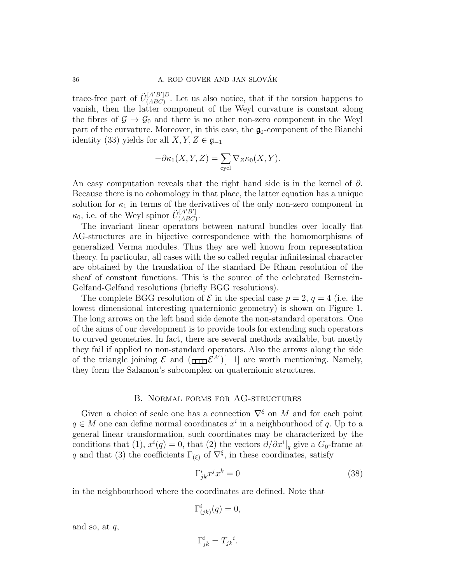<span id="page-35-0"></span>trace-free part of  $\tilde{U}^{[A'B']D}_{(ABC)}$  $(ABC)$ . Let us also notice, that if the torsion happens to vanish, then the latter component of the Weyl curvature is constant along the fibres of  $\mathcal{G} \to \mathcal{G}_0$  and there is no other non-zero component in the Weyl part of the curvature. Moreover, in this case, the  $\mathfrak{g}_0$ -component of the Bianchi identity (33) yields for all  $X, Y, Z \in \mathfrak{g}_{-1}$ 

$$
-\partial \kappa_1(X, Y, Z) = \sum_{\text{cycl}} \nabla_Z \kappa_0(X, Y).
$$

An easy computation reveals that the right hand side is in the kernel of  $\partial$ . Because there is no cohomology in that place, the latter equation has a unique solution for  $\kappa_1$  in terms of the derivatives of the only non-zero component in  $\kappa_0$ , i.e. of the Weyl spinor  $\tilde{U}_{(ABC)}^{[A'B']}$ -<sup>[АЪ]</sup><br>(ABC)

The invariant linear operators between natural bundles over locally flat AG-structures are in bijective correspondence with the homomorphisms of generalized Verma modules. Thus they are well known from representation theory. In particular, all cases with the so called regular infinitesimal character are obtained by the translation of the standard De Rham resolution of the sheaf of constant functions. This is the source of the celebrated Bernstein-Gelfand-Gelfand resolutions (briefly BGG resolutions).

The complete BGG resolution of  $\mathcal E$  in the special case  $p = 2, q = 4$  (i.e. the lowest dimensional interesting quaternionic geometry) is shown on Figure 1. The long arrows on the left hand side denote the non-standard operators. One of the aims of our development is to provide tools for extending such operators to curved geometries. In fact, there are several methods available, but mostly they fail if applied to non-standard operators. Also the arrows along the side of the triangle joining  $\mathcal E$  and  $(\overline{\dim} \mathcal E^{A'})[-1]$  are worth mentioning. Namely, they form the Salamon's subcomplex on quaternionic structures.

## B. Normal forms for AG-structures

Given a choice of scale one has a connection  $\nabla^{\xi}$  on M and for each point  $q \in M$  one can define normal coordinates  $x^i$  in a neighbourhood of q. Up to a general linear transformation, such coordinates may be characterized by the conditions that (1),  $x^{i}(q) = 0$ , that (2) the vectors  $\partial/\partial x^{i}|_{q}$  give a  $G_0$ -frame at q and that (3) the coefficients  $\Gamma_{(\xi)}$  of  $\nabla^{\xi}$ , in these coordinates, satisfy

$$
\Gamma^i_{jk} x^j x^k = 0 \tag{38}
$$

in the neighbourhood where the coordinates are defined. Note that

$$
\Gamma^i_{(jk)}(q) = 0,
$$

and so, at  $q$ ,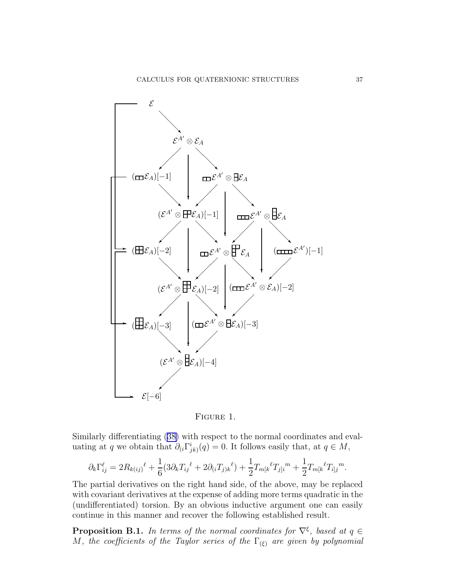<span id="page-36-0"></span>

FIGURE 1.

Similarly differentiating [\(38\)](#page-35-0) with respect to the normal coordinates and evaluating at q we obtain that  $\partial_i \Gamma^i_{jk}(q) = 0$ . It follows easily that, at  $q \in M$ ,

$$
\partial_k \Gamma_{ij}^{\ell} = 2R_{k(ij)}{}^{\ell} + \frac{1}{6} (3\partial_k T_{ij}{}^{\ell} + 2\partial_{(i} T_{j)k}{}^{\ell}) + \frac{1}{2} T_{m[k}{}^{\ell} T_{j]i}{}^{m} + \frac{1}{2} T_{m[k}{}^{\ell} T_{i]j}{}^{m}.
$$

The partial derivatives on the right hand side, of the above, may be replaced with covariant derivatives at the expense of adding more terms quadratic in the (undifferentiated) torsion. By an obvious inductive argument one can easily continue in this manner and recover the following established result.

**Proposition B.1.** In terms of the normal coordinates for  $\nabla^{\xi}$ , based at  $q \in$ M, the coefficients of the Taylor series of the  $\Gamma_{(\xi)}$  are given by polynomial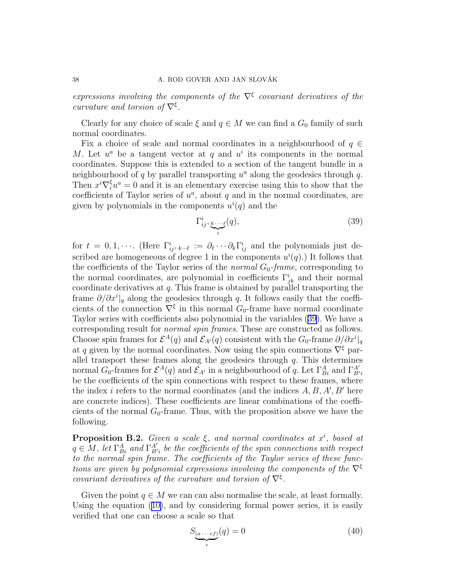<span id="page-37-0"></span>expressions involving the components of the  $\nabla^{\xi}$  covariant derivatives of the curvature and torsion of  $\nabla^{\xi}$ .

Clearly for any choice of scale  $\xi$  and  $q \in M$  we can find a  $G_0$  family of such normal coordinates.

Fix a choice of scale and normal coordinates in a neighbourhood of  $q \in$ M. Let  $u^a$  be a tangent vector at q and  $u^i$  its components in the normal coordinates. Suppose this is extended to a section of the tangent bundle in a neighbourhood of  $q$  by parallel transporting  $u^a$  along the geodesics through  $q$ . Then  $x^i \nabla_i^{\xi} u^a = 0$  and it is an elementary exercise using this to show that the coefficients of Taylor series of  $u^a$ , about q and in the normal coordinates, are given by polynomials in the components  $u^{i}(q)$  and the

$$
\Gamma_{ij}^i, \underbrace{k \cdots \ell}_{t}(q), \tag{39}
$$

for  $t = 0, 1, \cdots$ . (Here  $\Gamma^i_{ij}, \ldots \ell := \partial_\ell \cdots \partial_k \Gamma^i_{ij}$  and the polynomials just described are homogeneous of degree 1 in the components  $u^{i}(q)$ .) It follows that the coefficients of the Taylor series of the *normal*  $G_0$ -frame, corresponding to the normal coordinates, are polynomial in coefficients  $\Gamma_{jk}^{i}$  and their normal coordinate derivatives at  $q$ . This frame is obtained by parallel transporting the frame  $\partial/\partial x^i|_q$  along the geodesics through q. It follows easily that the coefficients of the connection  $\nabla^{\xi}$  in this normal  $G_0$ -frame have normal coordinate Taylor series with coefficients also polynomial in the variables (39). We have a corresponding result for normal spin frames. These are constructed as follows. Choose spin frames for  $\mathcal{E}^{A}(q)$  and  $\mathcal{E}_{A'}(q)$  consistent with the  $G_0$ -frame  $\partial/\partial x^i|_q$ at q given by the normal coordinates. Now using the spin connections  $\nabla^{\xi}$  parallel transport these frames along the geodesics through  $q$ . This determines normal  $G_0$ -frames for  $\mathcal{E}^A(q)$  and  $\mathcal{E}_{A'}$  in a neighbourhood of q. Let  $\Gamma^A_{Bi}$  and  $\Gamma^{A'}_{Bi'}$ be the coefficients of the spin connections with respect to these frames, where the index *i* refers to the normal coordinates (and the indices  $A, B, A', B'$  here are concrete indices). These coefficients are linear combinations of the coefficients of the normal  $G_0$ -frame. Thus, with the proposition above we have the following.

**Proposition B.2.** Given a scale  $\xi$ , and normal coordinates at  $x^i$ , based at  $q \in M$ , let  $\Gamma^A_{Bi}$  and  $\Gamma^{A'}_{Bi'}$  be the coefficients of the spin connections with respect to the normal spin frame. The coefficients of the Taylor series of these functions are given by polynomial expressions involving the components of the  $\nabla^{\xi}$ covariant derivatives of the curvature and torsion of  $\nabla^{\xi}$ .

Given the point  $q \in M$  we can can also normalise the scale, at least formally. Using the equation([10\)](#page-8-0), and by considering formal power series, it is easily verified that one can choose a scale so that

$$
S_{\underbrace{(a\cdots ef)}}(q) = 0\tag{40}
$$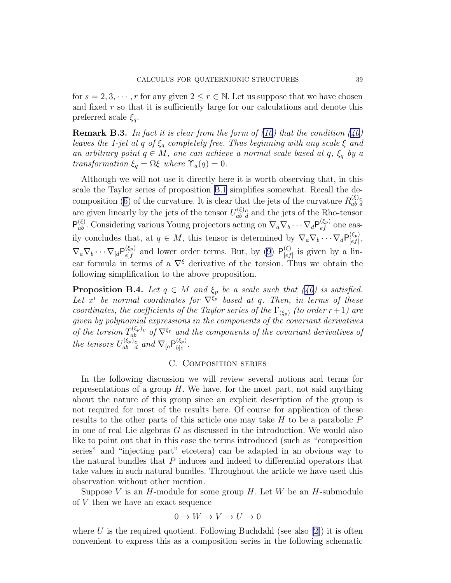<span id="page-38-0"></span>for  $s = 2, 3, \dots, r$  for any given  $2 \leq r \in \mathbb{N}$ . Let us suppose that we have chosen and fixed  $r$  so that it is sufficiently large for our calculations and denote this preferred scale  $\xi_q$ .

**Remark B.3.** In fact it is clear from the form of  $(10)$  that the condition  $(40)$ leaves the 1-jet at q of  $\xi_q$  completely free. Thus beginning with any scale  $\xi$  and an arbitrary point  $q \in M$ , one can achieve a normal scale based at  $q, \xi_q$  by a transformation  $\xi_q = \Omega \xi$  where  $\Upsilon_a(q) = 0$ .

Although we will not use it directly here it is worth observing that, in this scale the Taylor series of proposition [B.1](#page-36-0) simplifies somewhat. Recall the de-composition([6\)](#page-7-0) of the curvature. It is clear that the jets of the curvature  $R_{ab}^{(\xi)}$  $\frac{(\xi)}{ab}$  d are given linearly by the jets of the tensor  $U_{ab}^{(\xi)}$  $\frac{d}{dt}$  and the jets of the Rho-tensor  $P_{ab}^{(\xi)}$ . Considering various Young projectors acting on  $\nabla_a \nabla_b \cdots \nabla_d P_{ef}^{(\xi_p)}$  one easily concludes that, at  $q \in M$ , this tensor is determined by  $\nabla_a \nabla_b \cdots \nabla_d P_{[ef]}^{(\xi_p)}$  $\genfrac{[}{]}{0pt}{1}{[ef]},$  $\nabla_a\nabla_b\cdots\nabla_{[d}\mathsf{P}_{e\mid f}^{(\xi_p)}$  $\epsilon_{el}^{(\xi_p)}$  and lower order terms. But, by [\(9](#page-8-0))  $\mathsf{P}_{[ef}^{(\xi)}$  $\int_{[ef]}^{(5)}$  is given by a linear formula in terms of a  $\nabla^{\xi}$  derivative of the torsion. Thus we obtain the following simplification to the above proposition.

**PropositionB.4.** Let  $q \in M$  and  $\xi_p$  be a scale such that ([40\)](#page-37-0) is satisfied. Let  $x^i$  be normal coordinates for  $\nabla^{\xi_p}$  based at q. Then, in terms of these coordinates, the coefficients of the Taylor series of the  $\Gamma_{(\xi_p)}$  (to order r+1) are given by polynomial expressions in the components of the covariant derivatives of the torsion  $T_{ab}^{(\xi_p)}$  $a_{ab}^{(\xi_p)_c}$  of  $\nabla^{\xi_p}$  and the components of the covariant derivatives of the tensors  $U_{ab}^{(\xi_p)}$  $\epsilon_{ab-d}^{(\xi_p)}$  and  $\nabla_{[a}P_{b]c}^{(\xi_p)}$  $\genfrac{}{}{0pt}{}{\left( \zeta p\right) }{b\right] }c$  .

# C. Composition series

In the following discussion we will review several notions and terms for representations of a group  $H$ . We have, for the most part, not said anything about the nature of this group since an explicit description of the group is not required for most of the results here. Of course for application of these results to the other parts of this article one may take  $H$  to be a parabolic  $P$ in one of real Lie algebras  $G$  as discussed in the introduction. We would also like to point out that in this case the terms introduced (such as "composition series" and "injecting part" etcetera) can be adapted in an obvious way to the natural bundles that  $P$  induces and indeed to differential operators that take values in such natural bundles. Throughout the article we have used this observation without other mention.

Suppose V is an  $H$ -module for some group  $H$ . Let W be an  $H$ -submodule of V then we have an exact sequence

$$
0 \to W \to V \to U \to 0
$$

where U is the required quotient. Following Buchdahl (see also [\[2](#page-42-0)]) it is often convenient to express this as a composition series in the following schematic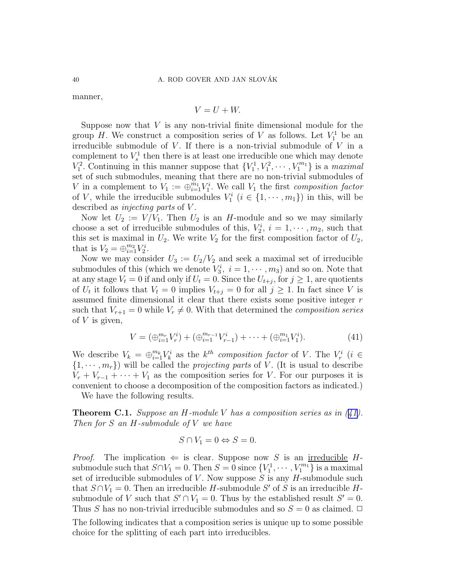manner,

$$
V = U + W.
$$

Suppose now that  $V$  is any non-trivial finite dimensional module for the group H. We construct a composition series of V as follows. Let  $V_1^1$  be an irreducible submodule of  $V$ . If there is a non-trivial submodule of  $V$  in a complement to  $V_s^1$  then there is at least one irreducible one which may denote  $V_1^2$ . Continuing in this manner suppose that  $\{V_1^1, V_1^2, \cdots, V_1^{m_1}\}$  is a *maximal* set of such submodules, meaning that there are no non-trivial submodules of V in a complement to  $V_1 := \bigoplus_{i=1}^{m_1} V_1^i$ . We call  $V_1$  the first composition factor of V, while the irreducible submodules  $V_1^i$   $(i \in \{1, \dots, m_1\})$  in this, will be described as *injecting parts* of V.

Now let  $U_2 := V/V_1$ . Then  $U_2$  is an H-module and so we may similarly choose a set of irreducible submodules of this,  $V_2^i$ ,  $i = 1, \dots, m_2$ , such that this set is maximal in  $U_2$ . We write  $V_2$  for the first composition factor of  $U_2$ , that is  $V_2 = \bigoplus_{i=1}^{m_2} V_2^i$ .

Now we may consider  $U_3 := U_2/V_2$  and seek a maximal set of irreducible submodules of this (which we denote  $V_3^i$ ,  $i = 1, \dots, m_3$ ) and so on. Note that at any stage  $V_t = 0$  if and only if  $U_t = 0$ . Since the  $U_{t+j}$ , for  $j \ge 1$ , are quotients of  $U_t$  it follows that  $V_t = 0$  implies  $V_{t+j} = 0$  for all  $j \geq 1$ . In fact since V is assumed finite dimensional it clear that there exists some positive integer r such that  $V_{r+1} = 0$  while  $V_r \neq 0$ . With that determined the *composition series* of  $V$  is given,

$$
V = (\bigoplus_{i=1}^{m_r} V_r^i) + (\bigoplus_{i=1}^{m_{r-1}} V_{r-1}^i) + \dots + (\bigoplus_{i=1}^{m_1} V_1^i). \tag{41}
$$

We describe  $V_k = \bigoplus_{i=1}^{m_k} V_k^i$  as the  $k^{th}$  composition factor of V. The  $V_r^i$  (i  $\in$  $\{1, \dots, m_r\}$  will be called the *projecting parts* of V. (It is usual to describe  $V_r + V_{r-1} + \cdots + V_1$  as the composition series for V. For our purposes it is convenient to choose a decomposition of the composition factors as indicated.)

We have the following results.

**Theorem C.1.** Suppose an H-module V has a composition series as in  $(41)$ . Then for S an H-submodule of V we have

$$
S \cap V_1 = 0 \Leftrightarrow S = 0.
$$

*Proof.* The implication  $\Leftarrow$  is clear. Suppose now S is an <u>irreducible</u> Hsubmodule such that  $S \cap V_1 = 0$ . Then  $S = 0$  since  $\{V_1^1, \dots, V_1^{m_1}\}$  is a maximal set of irreducible submodules of  $V$ . Now suppose  $S$  is any  $H$ -submodule such that  $S \cap V_1 = 0$ . Then an irreducible H-submodule S' of S is an irreducible Hsubmodule of V such that  $S' \cap V_1 = 0$ . Thus by the established result  $S' = 0$ . Thus S has no non-trivial irreducible submodules and so  $S = 0$  as claimed.  $\Box$ The following indicates that a composition series is unique up to some possible choice for the splitting of each part into irreducibles.

<span id="page-39-0"></span>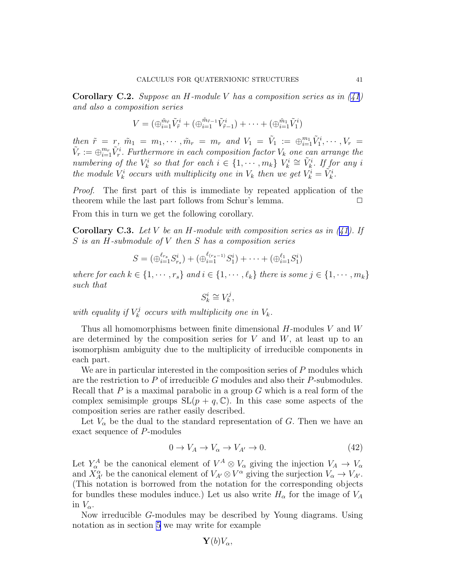<span id="page-40-0"></span>**Corollary C.2.** Suppose an H-module V has a composition series as in  $(41)$ and also a composition series

$$
V = (\bigoplus_{i=1}^{\tilde{m}_{\tilde{r}}}\tilde{V}_{\tilde{r}}^i + (\bigoplus_{i=1}^{\tilde{m}_{\tilde{r}-1}}\tilde{V}_{\tilde{r}-1}^i) + \cdots + (\bigoplus_{i=1}^{\tilde{m}_1}\tilde{V}_1^i)
$$

then  $\tilde{r} = r$ ,  $\tilde{m}_1 = m_1, \cdots, \tilde{m}_r = m_r$  and  $V_1 = \tilde{V}_1 := \bigoplus_{i=1}^{m_1} \tilde{V}_1^i, \cdots, V_r =$  $\tilde{V}_r := \bigoplus_{i=1}^{m_r} \tilde{V}^i_r$ . Furthermore in each composition factor  $V_k$  one can arrange the numbering of the  $V_k^i$  so that for each  $i \in \{1, \dots, m_k\}$   $V_k^i \cong \tilde{V}_k^i$ . If for any i the module  $V_k^i$  occurs with multiplicity one in  $V_k$  then we get  $V_k^i = \tilde{V}_k^i$ .

Proof. The first part of this is immediate by repeated application of the theorem while the last part follows from Schur's lemma.  $\Box$ 

From this in turn we get the following corollary.

**CorollaryC.3.** Let V be an H-module with composition series as in  $(41)$  $(41)$ . If S is an H-submodule of V then S has a composition series

$$
S = (\bigoplus_{i=1}^{\ell_{rs}} S_{r_s}^i) + (\bigoplus_{i=1}^{\ell_{(rs-1)}} S_1^i) + \cdots + (\bigoplus_{i=1}^{\ell_1} S_1^i)
$$

where for each  $k \in \{1, \dots, r_s\}$  and  $i \in \{1, \dots, \ell_k\}$  there is some  $j \in \{1, \dots, m_k\}$ such that

$$
S_k^i\cong V_k^j,
$$

with equality if  $V_k^j$  $\mathcal{K}_k^j$  occurs with multiplicity one in  $V_k$ .

Thus all homomorphisms between finite dimensional  $H$ -modules V and W are determined by the composition series for  $V$  and  $W$ , at least up to an isomorphism ambiguity due to the multiplicity of irreducible components in each part.

We are in particular interested in the composition series of  $P$  modules which are the restriction to P of irreducible G modules and also their P-submodules. Recall that  $P$  is a maximal parabolic in a group  $G$  which is a real form of the complex semisimple groups  $SL(p + q, \mathbb{C})$ . In this case some aspects of the composition series are rather easily described.

Let  $V_{\alpha}$  be the dual to the standard representation of G. Then we have an exact sequence of P-modules

$$
0 \to V_A \to V_\alpha \to V_{A'} \to 0. \tag{42}
$$

Let  $Y^A_\alpha$  be the canonical element of  $V^A \otimes V_\alpha$  giving the injection  $V_A \to V_\alpha$ and  $X_{A'}^{\alpha}$  be the canonical element of  $V_{A'} \otimes V^{\alpha}$  giving the surjection  $V_{\alpha} \to V_{A'}$ . (This notation is borrowed from the notation for the corresponding objects for bundles these modules induce.) Let us also write  $H_{\alpha}$  for the image of  $V_A$ in  $V_{\alpha}$ .

Now irreducible G-modules may be described by Young diagrams. Using notation as in section [5](#page-23-0) we may write for example

$$
\mathbf{Y}(b)V_\alpha,
$$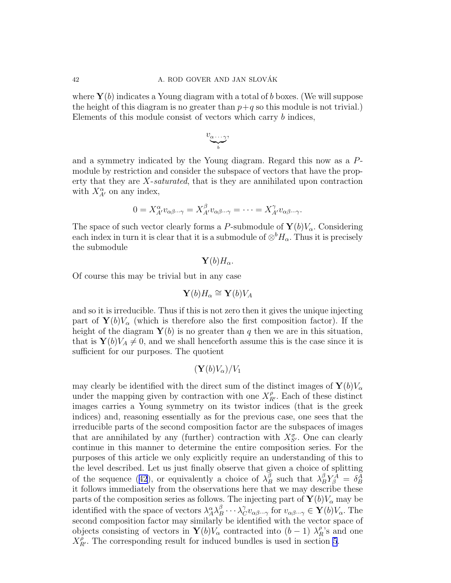where  $\mathbf{Y}(b)$  indicates a Young diagram with a total of b boxes. (We will suppose the height of this diagram is no greater than  $p+q$  so this module is not trivial.) Elements of this module consist of vectors which carry b indices,

$$
v_{\underbrace{\alpha\cdots\gamma}_{b}},
$$

and a symmetry indicated by the Young diagram. Regard this now as a Pmodule by restriction and consider the subspace of vectors that have the property that they are X-saturated, that is they are annihilated upon contraction with  $X_{A'}^{\alpha}$  on any index,

$$
0 = X_{A'}^{\alpha} v_{\alpha\beta\cdots\gamma} = X_{A'}^{\beta} v_{\alpha\beta\cdots\gamma} = \cdots = X_{A'}^{\gamma} v_{\alpha\beta\cdots\gamma}.
$$

The space of such vector clearly forms a P-submodule of  $\mathbf{Y}(b)V_{\alpha}$ . Considering each index in turn it is clear that it is a submodule of  $\otimes^b H_\alpha$ . Thus it is precisely the submodule

$$
\mathbf{Y}(b)H_{\alpha}.
$$

Of course this may be trivial but in any case

$$
\mathbf{Y}(b)H_{\alpha} \cong \mathbf{Y}(b)V_A
$$

and so it is irreducible. Thus if this is not zero then it gives the unique injecting part of  $\mathbf{Y}(b)V_{\alpha}$  (which is therefore also the first composition factor). If the height of the diagram  $\mathbf{Y}(b)$  is no greater than q then we are in this situation, that is  $\mathbf{Y}(b)V_A \neq 0$ , and we shall henceforth assume this is the case since it is sufficient for our purposes. The quotient

$$
(\mathbf{Y}(b)V_{\alpha})/V_1
$$

may clearly be identified with the direct sum of the distinct images of  $\mathbf{Y}(b)V_{\alpha}$ under the mapping given by contraction with one  $X_{R'}^{\rho}$ . Each of these distinct images carries a Young symmetry on its twistor indices (that is the greek indices) and, reasoning essentially as for the previous case, one sees that the irreducible parts of the second composition factor are the subspaces of images that are annihilated by any (further) contraction with  $X_{S'}^{\sigma}$ . One can clearly continue in this manner to determine the entire composition series. For the purposes of this article we only explicitly require an understanding of this to the level described. Let us just finally observe that given a choice of splitting ofthe sequence ([42](#page-40-0)), or equivalently a choice of  $\lambda_B^{\beta}$  such that  $\lambda_B^{\beta} Y_{\beta}^A = \delta_B^A$ it follows immediately from the observations here that we may describe these parts of the composition series as follows. The injecting part of  $\mathbf{Y}(b)V_{\alpha}$  may be identified with the space of vectors  $\lambda_A^{\alpha} \lambda_B^{\beta} \cdots \lambda_C^{\gamma} v_{\alpha \beta \cdots \gamma}$  for  $v_{\alpha \beta \cdots \gamma} \in \mathbf{Y}(b) V_{\alpha}$ . The second composition factor may similarly be identified with the vector space of objects consisting of vectors in  $\mathbf{Y}(b)V_{\alpha}$  contracted into  $(b-1)$   $\lambda_R^{\rho}$ 's and one  $X_{R'}^{\rho}$ . The corresponding result for induced bundles is used in section [5](#page-23-0).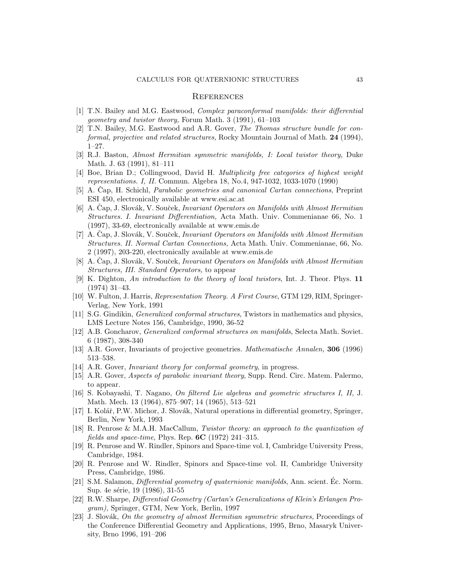#### **REFERENCES**

- <span id="page-42-0"></span>[1] T.N. Bailey and M.G. Eastwood, Complex paraconformal manifolds: their differential geometry and twistor theory, Forum Math. 3 (1991), 61–103
- [2] T.N. Bailey, M.G. Eastwood and A.R. Gover, The Thomas structure bundle for conformal, projective and related structures, Rocky Mountain Journal of Math. 24 (1994), 1–27.
- [3] R.J. Baston, Almost Hermitian symmetric manifolds, I: Local twistor theory, Duke Math. J. 63 (1991), 81–111
- [4] Boe, Brian D.; Collingwood, David H. Multiplicity free categories of highest weight representations. I, II. Commun. Algebra 18, No.4, 947-1032, 1033-1070 (1990)
- [5] A. Cap, H. Schichl, *Parabolic geometries and canonical Cartan connections*, Preprint ESI 450, electronically available at www.esi.ac.at
- [6] A. Čap, J. Slovák, V. Souček, *Invariant Operators on Manifolds with Almost Hermitian* Structures. I. Invariant Differentiation, Acta Math. Univ. Commenianae 66, No. 1 (1997), 33-69, electronically available at www.emis.de
- [7] A. Čap, J. Slovák, V. Souček, *Invariant Operators on Manifolds with Almost Hermitian* Structures. II. Normal Cartan Connections, Acta Math. Univ. Commenianae, 66, No. 2 (1997), 203-220, electronically available at www.emis.de
- [8] A. Cap, J. Slovák, V. Souček, *Invariant Operators on Manifolds with Almost Hermitian* Structures, III. Standard Operators, to appear
- [9] K. Dighton, An introduction to the theory of local twistors, Int. J. Theor. Phys. 11 (1974) 31–43.
- [10] W. Fulton, J. Harris, Representation Theory. A First Course, GTM 129, RIM, Springer-Verlag, New York, 1991
- [11] S.G. Gindikin, Generalized conformal structures, Twistors in mathematics and physics, LMS Lecture Notes 156, Cambridge, 1990, 36-52
- [12] A.B. Goncharov, Generalized conformal structures on manifolds, Selecta Math. Soviet. 6 (1987), 308-340
- [13] A.R. Gover, Invariants of projective geometries. Mathematische Annalen, 306 (1996) 513–538.
- [14] A.R. Gover, Invariant theory for conformal geometry, in progress.
- [15] A.R. Gover, Aspects of parabolic invariant theory, Supp. Rend. Circ. Matem. Palermo, to appear.
- [16] S. Kobayashi, T. Nagano, On filtered Lie algebras and geometric structures I, II, J. Math. Mech. 13 (1964), 875–907; 14 (1965), 513–521
- [17] I. Kolář, P.W. Michor, J. Slovák, Natural operations in differential geometry, Springer, Berlin, New York, 1993
- [18] R. Penrose & M.A.H. MacCallum, Twistor theory: an approach to the quantization of fields and space-time, Phys. Rep.  $6C$  (1972) 241–315.
- [19] R. Penrose and W. Rindler, Spinors and Space-time vol. I, Cambridge University Press, Cambridge, 1984.
- [20] R. Penrose and W. Rindler, Spinors and Space-time vol. II, Cambridge University Press, Cambridge, 1986.
- [21] S.M. Salamon, *Differential geometry of quaternionic manifolds*, Ann. scient. Ec. Norm. Sup. 4e série, 19 (1986), 31-55
- [22] R.W. Sharpe, Differential Geometry (Cartan's Generalizations of Klein's Erlangen Program), Springer, GTM, New York, Berlin, 1997
- [23] J. Slovák, On the geometry of almost Hermitian symmetric structures, Proceedings of the Conference Differential Geometry and Applications, 1995, Brno, Masaryk University, Brno 1996, 191–206